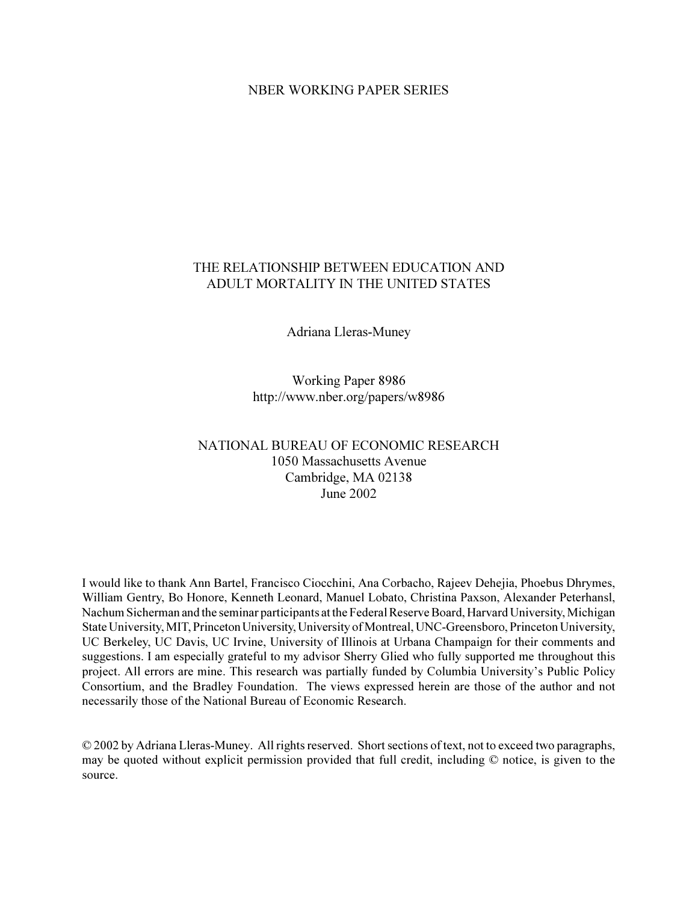# NBER WORKING PAPER SERIES

# THE RELATIONSHIP BETWEEN EDUCATION AND ADULT MORTALITY IN THE UNITED STATES

Adriana Lleras-Muney

Working Paper 8986 http://www.nber.org/papers/w8986

# NATIONAL BUREAU OF ECONOMIC RESEARCH 1050 Massachusetts Avenue Cambridge, MA 02138 June 2002

I would like to thank Ann Bartel, Francisco Ciocchini, Ana Corbacho, Rajeev Dehejia, Phoebus Dhrymes, William Gentry, Bo Honore, Kenneth Leonard, Manuel Lobato, Christina Paxson, Alexander Peterhansl, Nachum Sicherman and the seminar participants at the Federal Reserve Board, Harvard University, Michigan State University, MIT, Princeton University, University of Montreal, UNC-Greensboro, Princeton University, UC Berkeley, UC Davis, UC Irvine, University of Illinois at Urbana Champaign for their comments and suggestions. I am especially grateful to my advisor Sherry Glied who fully supported me throughout this project. All errors are mine. This research was partially funded by Columbia University's Public Policy Consortium, and the Bradley Foundation. The views expressed herein are those of the author and not necessarily those of the National Bureau of Economic Research.

© 2002 by Adriana Lleras-Muney. All rights reserved. Short sections of text, not to exceed two paragraphs, may be quoted without explicit permission provided that full credit, including © notice, is given to the source.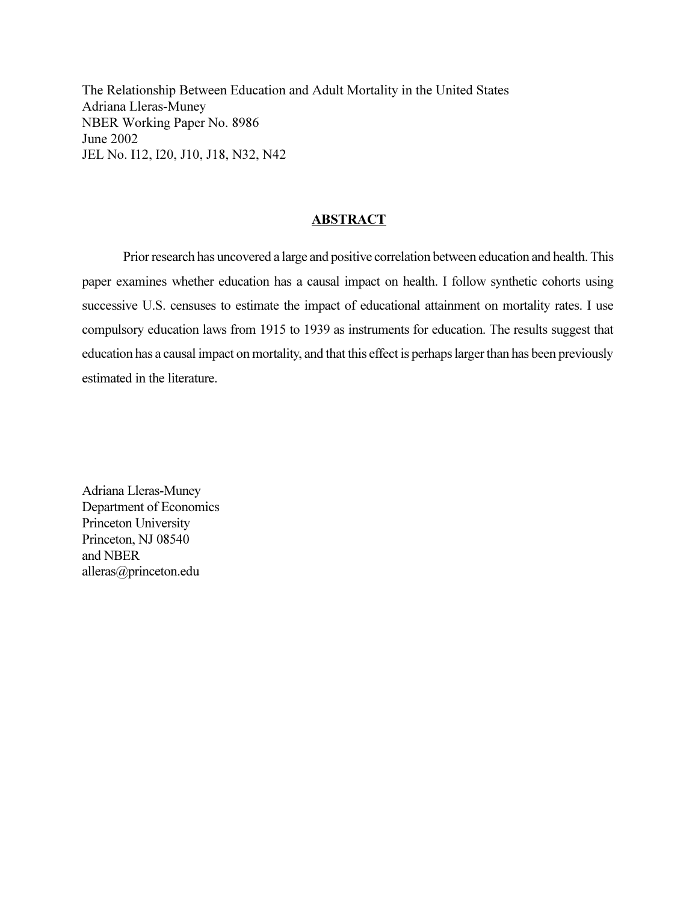The Relationship Between Education and Adult Mortality in the United States Adriana Lleras-Muney NBER Working Paper No. 8986 June 2002 JEL No. I12, I20, J10, J18, N32, N42

# ABSTRACT

Prior research has uncovered a large and positive correlation between education and health. This paper examines whether education has a causal impact on health. I follow synthetic cohorts using successive U.S. censuses to estimate the impact of educational attainment on mortality rates. I use compulsory education laws from 1915 to 1939 as instruments for education. The results suggest that education has a causal impact on mortality, and that this effect is perhaps larger than has been previously estimated in the literature.

Adriana Lleras-Muney Department of Economics Princeton University Princeton, NJ 08540 and NBER alleras@princeton.edu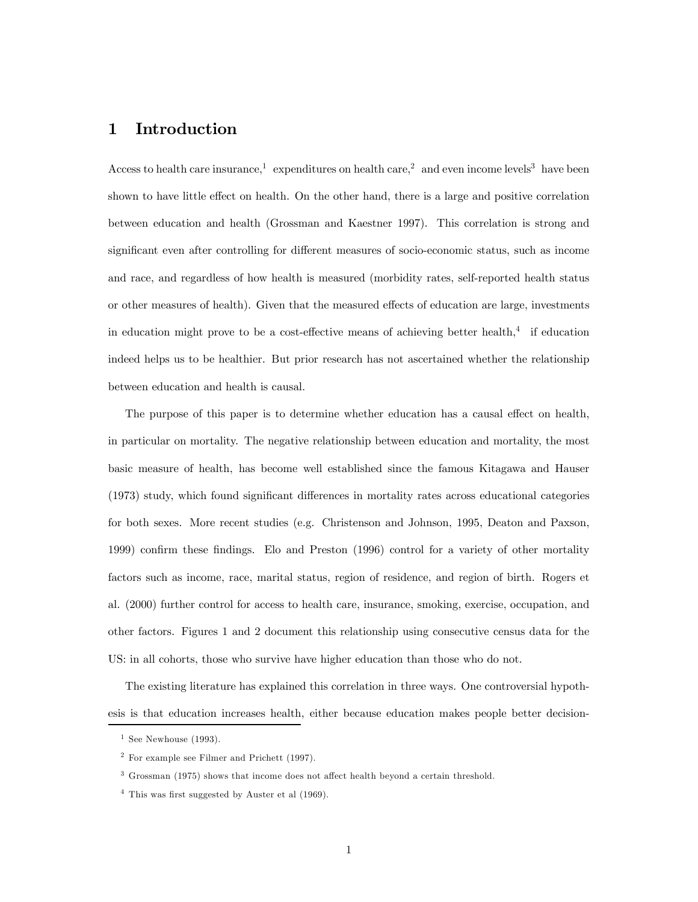# 1 Introduction

Access to health care insurance,<sup>1</sup> expenditures on health care,<sup>2</sup> and even income levels<sup>3</sup> have been shown to have little effect on health. On the other hand, there is a large and positive correlation between education and health (Grossman and Kaestner 1997). This correlation is strong and significant even after controlling for different measures of socio-economic status, such as income and race, and regardless of how health is measured (morbidity rates, self-reported health status or other measures of health). Given that the measured effects of education are large, investments in education might prove to be a cost-effective means of achieving better health, $4$  if education indeed helps us to be healthier. But prior research has not ascertained whether the relationship between education and health is causal.

The purpose of this paper is to determine whether education has a causal effect on health, in particular on mortality. The negative relationship between education and mortality, the most basic measure of health, has become well established since the famous Kitagawa and Hauser (1973) study, which found significant differences in mortality rates across educational categories for both sexes. More recent studies (e.g. Christenson and Johnson, 1995, Deaton and Paxson, 1999) confirm these findings. Elo and Preston (1996) control for a variety of other mortality factors such as income, race, marital status, region of residence, and region of birth. Rogers et al. (2000) further control for access to health care, insurance, smoking, exercise, occupation, and other factors. Figures 1 and 2 document this relationship using consecutive census data for the US: in all cohorts, those who survive have higher education than those who do not.

The existing literature has explained this correlation in three ways. One controversial hypothesis is that education increases health, either because education makes people better decision-

<sup>&</sup>lt;sup>1</sup> See Newhouse  $(1993)$ .

<sup>2</sup> For example see Filmer and Prichett (1997).

<sup>3</sup> Grossman (1975) shows that income does not affect health beyond a certain threshold.

 $4$  This was first suggested by Auster et al  $(1969)$ .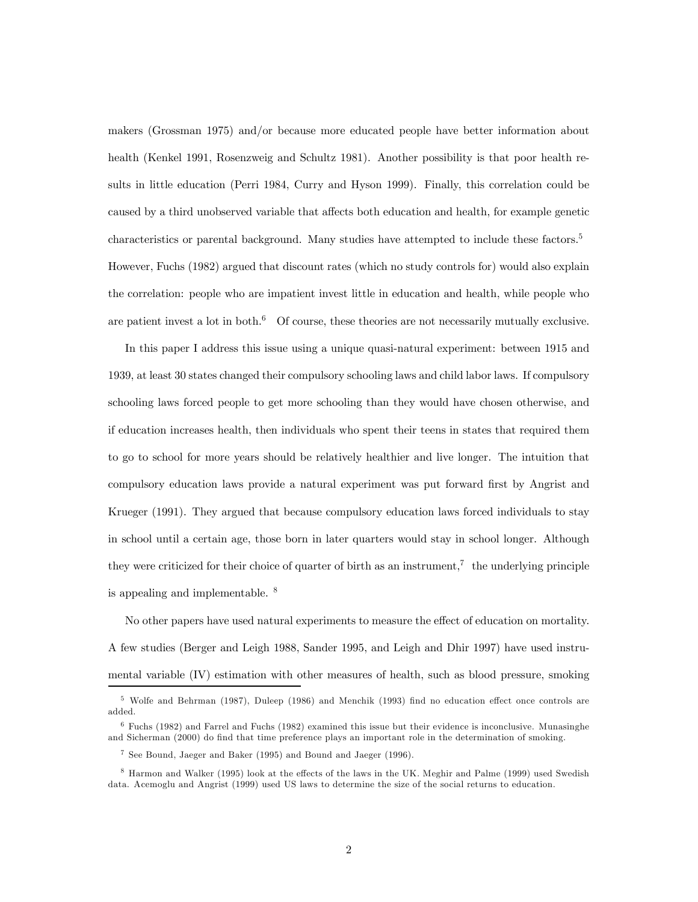makers (Grossman 1975) and/or because more educated people have better information about health (Kenkel 1991, Rosenzweig and Schultz 1981). Another possibility is that poor health results in little education (Perri 1984, Curry and Hyson 1999). Finally, this correlation could be caused by a third unobserved variable that affects both education and health, for example genetic characteristics or parental background. Many studies have attempted to include these factors.<sup>5</sup> However, Fuchs (1982) argued that discount rates (which no study controls for) would also explain the correlation: people who are impatient invest little in education and health, while people who are patient invest a lot in both. $6$  Of course, these theories are not necessarily mutually exclusive.

In this paper I address this issue using a unique quasi-natural experiment: between 1915 and 1939, at least 30 states changed their compulsory schooling laws and child labor laws. If compulsory schooling laws forced people to get more schooling than they would have chosen otherwise, and if education increases health, then individuals who spent their teens in states that required them to go to school for more years should be relatively healthier and live longer. The intuition that compulsory education laws provide a natural experiment was put forward first by Angrist and Krueger (1991). They argued that because compulsory education laws forced individuals to stay in school until a certain age, those born in later quarters would stay in school longer. Although they were criticized for their choice of quarter of birth as an instrument,<sup>7</sup> the underlying principle is appealing and implementable. <sup>8</sup>

No other papers have used natural experiments to measure the effect of education on mortality. A few studies (Berger and Leigh 1988, Sander 1995, and Leigh and Dhir 1997) have used instrumental variable (IV) estimation with other measures of health, such as blood pressure, smoking

<sup>5</sup> Wolfe and Behrman (1987), Duleep (1986) and Menchik (1993) find no education effect once controls are added.

<sup>6</sup> Fuchs (1982) and Farrel and Fuchs (1982) examined this issue but their evidence is inconclusive. Munasinghe and Sicherman (2000) do find that time preference plays an important role in the determination of smoking.

<sup>7</sup> See Bound, Jaeger and Baker (1995) and Bound and Jaeger (1996).

<sup>8</sup> Harmon and Walker (1995) look at the effects of the laws in the UK. Meghir and Palme (1999) used Swedish data. Acemoglu and Angrist (1999) used US laws to determine the size of the social returns to education.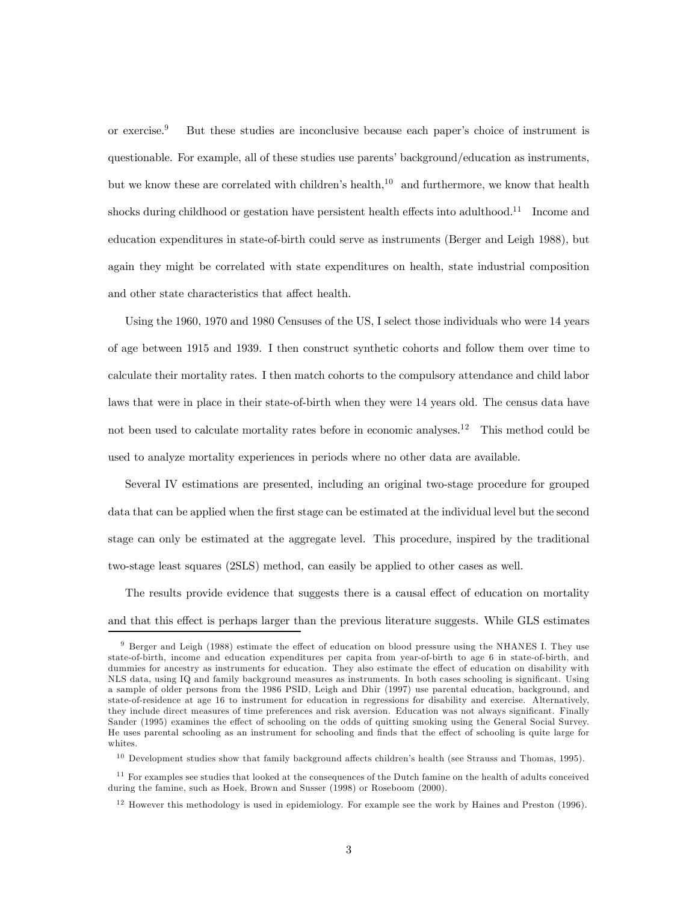or exercise.9 But these studies are inconclusive because each paper's choice of instrument is questionable. For example, all of these studies use parents' background/education as instruments, but we know these are correlated with children's health,<sup>10</sup> and furthermore, we know that health shocks during childhood or gestation have persistent health effects into adulthood.<sup>11</sup> Income and education expenditures in state-of-birth could serve as instruments (Berger and Leigh 1988), but again they might be correlated with state expenditures on health, state industrial composition and other state characteristics that affect health.

Using the 1960, 1970 and 1980 Censuses of the US, I select those individuals who were 14 years of age between 1915 and 1939. I then construct synthetic cohorts and follow them over time to calculate their mortality rates. I then match cohorts to the compulsory attendance and child labor laws that were in place in their state-of-birth when they were 14 years old. The census data have not been used to calculate mortality rates before in economic analyses.<sup>12</sup> This method could be used to analyze mortality experiences in periods where no other data are available.

Several IV estimations are presented, including an original two-stage procedure for grouped data that can be applied when the first stage can be estimated at the individual level but the second stage can only be estimated at the aggregate level. This procedure, inspired by the traditional two-stage least squares (2SLS) method, can easily be applied to other cases as well.

The results provide evidence that suggests there is a causal effect of education on mortality and that this effect is perhaps larger than the previous literature suggests. While GLS estimates

<sup>9</sup> Berger and Leigh (1988) estimate the effect of education on blood pressure using the NHANES I. They use state-of-birth, income and education expenditures per capita from year-of-birth to age 6 in state-of-birth, and dummies for ancestry as instruments for education. They also estimate the effect of education on disability with NLS data, using IQ and family background measures as instruments. In both cases schooling is significant. Using a sample of older persons from the 1986 PSID, Leigh and Dhir (1997) use parental education, background, and state-of-residence at age 16 to instrument for education in regressions for disability and exercise. Alternatively, they include direct measures of time preferences and risk aversion. Education was not always significant. Finally Sander (1995) examines the effect of schooling on the odds of quitting smoking using the General Social Survey. He uses parental schooling as an instrument for schooling and finds that the effect of schooling is quite large for whites.

<sup>&</sup>lt;sup>10</sup> Development studies show that family background affects children's health (see Strauss and Thomas, 1995).

 $11$  For examples see studies that looked at the consequences of the Dutch famine on the health of adults conceived during the famine, such as Hoek, Brown and Susser (1998) or Roseboom (2000).

 $12$  However this methodology is used in epidemiology. For example see the work by Haines and Preston (1996).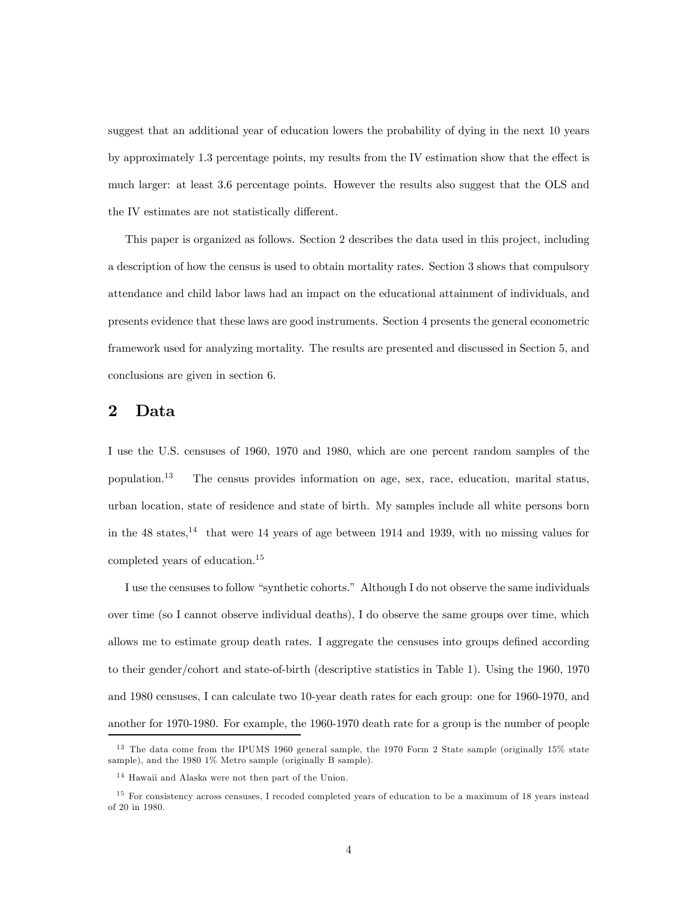suggest that an additional year of education lowers the probability of dying in the next 10 years by approximately 1.3 percentage points, my results from the IV estimation show that the effect is much larger: at least 3.6 percentage points. However the results also suggest that the OLS and the IV estimates are not statistically different.

This paper is organized as follows. Section 2 describes the data used in this project, including a description of how the census is used to obtain mortality rates. Section 3 shows that compulsory attendance and child labor laws had an impact on the educational attainment of individuals, and presents evidence that these laws are good instruments. Section 4 presents the general econometric framework used for analyzing mortality. The results are presented and discussed in Section 5, and conclusions are given in section 6.

# 2 Data

I use the U.S. censuses of 1960, 1970 and 1980, which are one percent random samples of the population.<sup>13</sup> The census provides information on age, sex, race, education, marital status, urban location, state of residence and state of birth. My samples include all white persons born in the  $48$  states,<sup>14</sup> that were 14 years of age between 1914 and 1939, with no missing values for completed years of education.15

I use the censuses to follow "synthetic cohorts." Although I do not observe the same individuals over time (so I cannot observe individual deaths), I do observe the same groups over time, which allows me to estimate group death rates. I aggregate the censuses into groups defined according to their gender/cohort and state-of-birth (descriptive statistics in Table 1). Using the 1960, 1970 and 1980 censuses, I can calculate two 10-year death rates for each group: one for 1960-1970, and another for 1970-1980. For example, the 1960-1970 death rate for a group is the number of people

 $13$  The data come from the IPUMS 1960 general sample, the 1970 Form 2 State sample (originally 15% state sample), and the 1980 1% Metro sample (originally B sample).

<sup>&</sup>lt;sup>14</sup> Hawaii and Alaska were not then part of the Union.

<sup>&</sup>lt;sup>15</sup> For consistency across censuses, I recoded completed years of education to be a maximum of 18 years instead of 20 in 1980.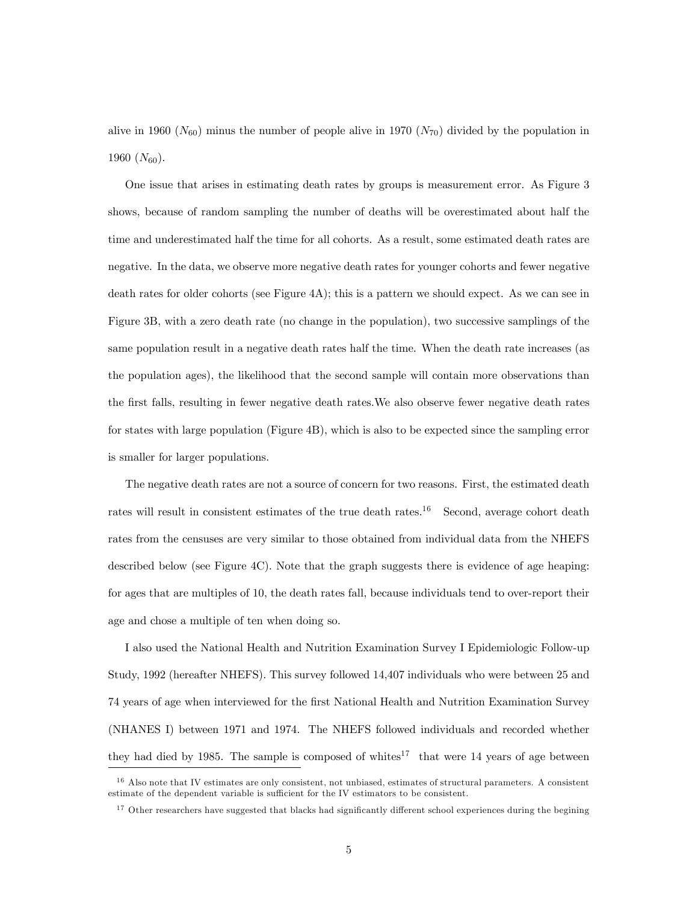alive in 1960 ( $N_{60}$ ) minus the number of people alive in 1970 ( $N_{70}$ ) divided by the population in 1960  $(N_{60})$ .

One issue that arises in estimating death rates by groups is measurement error. As Figure 3 shows, because of random sampling the number of deaths will be overestimated about half the time and underestimated half the time for all cohorts. As a result, some estimated death rates are negative. In the data, we observe more negative death rates for younger cohorts and fewer negative death rates for older cohorts (see Figure 4A); this is a pattern we should expect. As we can see in Figure 3B, with a zero death rate (no change in the population), two successive samplings of the same population result in a negative death rates half the time. When the death rate increases (as the population ages), the likelihood that the second sample will contain more observations than the first falls, resulting in fewer negative death rates.We also observe fewer negative death rates for states with large population (Figure 4B), which is also to be expected since the sampling error is smaller for larger populations.

The negative death rates are not a source of concern for two reasons. First, the estimated death rates will result in consistent estimates of the true death rates.<sup>16</sup> Second, average cohort death rates from the censuses are very similar to those obtained from individual data from the NHEFS described below (see Figure 4C). Note that the graph suggests there is evidence of age heaping: for ages that are multiples of 10, the death rates fall, because individuals tend to over-report their age and chose a multiple of ten when doing so.

I also used the National Health and Nutrition Examination Survey I Epidemiologic Follow-up Study, 1992 (hereafter NHEFS). This survey followed 14,407 individuals who were between 25 and 74 years of age when interviewed for the first National Health and Nutrition Examination Survey (NHANES I) between 1971 and 1974. The NHEFS followed individuals and recorded whether they had died by 1985. The sample is composed of whites<sup>17</sup> that were 14 years of age between

<sup>&</sup>lt;sup>16</sup> Also note that IV estimates are only consistent, not unbiased, estimates of structural parameters. A consistent estimate of the dependent variable is sufficient for the IV estimators to be consistent.

<sup>&</sup>lt;sup>17</sup> Other researchers have suggested that blacks had significantly different school experiences during the begining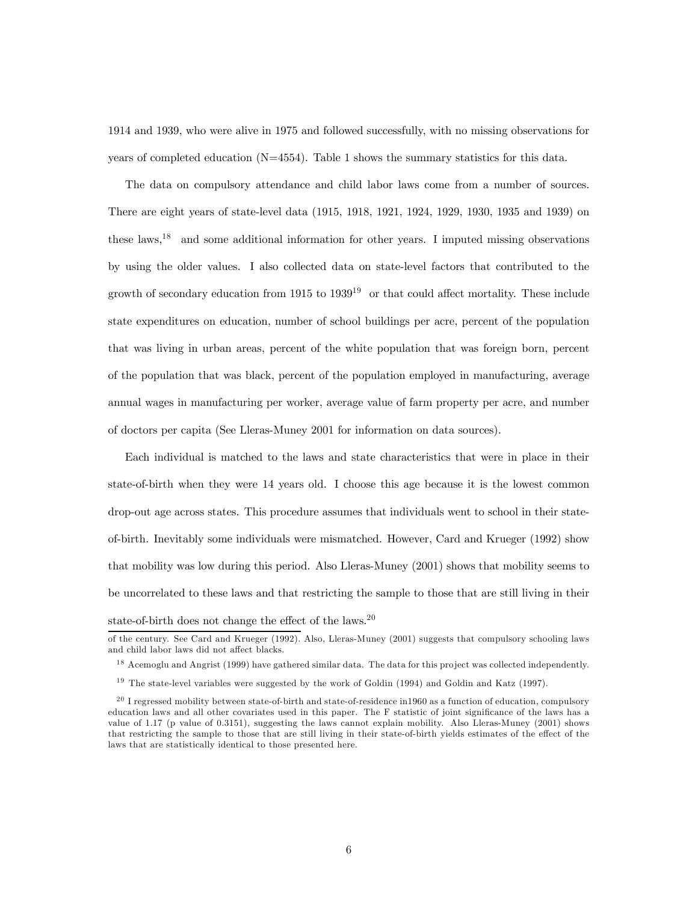1914 and 1939, who were alive in 1975 and followed successfully, with no missing observations for years of completed education  $(N=4554)$ . Table 1 shows the summary statistics for this data.

The data on compulsory attendance and child labor laws come from a number of sources. There are eight years of state-level data (1915, 1918, 1921, 1924, 1929, 1930, 1935 and 1939) on these laws,18 and some additional information for other years. I imputed missing observations by using the older values. I also collected data on state-level factors that contributed to the growth of secondary education from  $1915$  to  $1939<sup>19</sup>$  or that could affect mortality. These include state expenditures on education, number of school buildings per acre, percent of the population that was living in urban areas, percent of the white population that was foreign born, percent of the population that was black, percent of the population employed in manufacturing, average annual wages in manufacturing per worker, average value of farm property per acre, and number of doctors per capita (See Lleras-Muney 2001 for information on data sources).

Each individual is matched to the laws and state characteristics that were in place in their state-of-birth when they were 14 years old. I choose this age because it is the lowest common drop-out age across states. This procedure assumes that individuals went to school in their stateof-birth. Inevitably some individuals were mismatched. However, Card and Krueger (1992) show that mobility was low during this period. Also Lleras-Muney (2001) shows that mobility seems to be uncorrelated to these laws and that restricting the sample to those that are still living in their state-of-birth does not change the effect of the laws.<sup>20</sup>

<sup>18</sup> Acemoglu and Angrist (1999) have gathered similar data. The data for this project was collected independently.

of the century. See Card and Krueger (1992). Also, Lleras-Muney (2001) suggests that compulsory schooling laws and child labor laws did not affect blacks.

<sup>&</sup>lt;sup>19</sup> The state-level variables were suggested by the work of Goldin (1994) and Goldin and Katz (1997).

 $^{20}$  I regressed mobility between state-of-birth and state-of-residence in 1960 as a function of education, compulsory education laws and all other covariates used in this paper. The F statistic of joint significance of the laws has a value of 1.17 (p value of 0.3151), suggesting the laws cannot explain mobility. Also Lleras-Muney (2001) shows that restricting the sample to those that are still living in their state-of-birth yields estimates of the effect of the laws that are statistically identical to those presented here.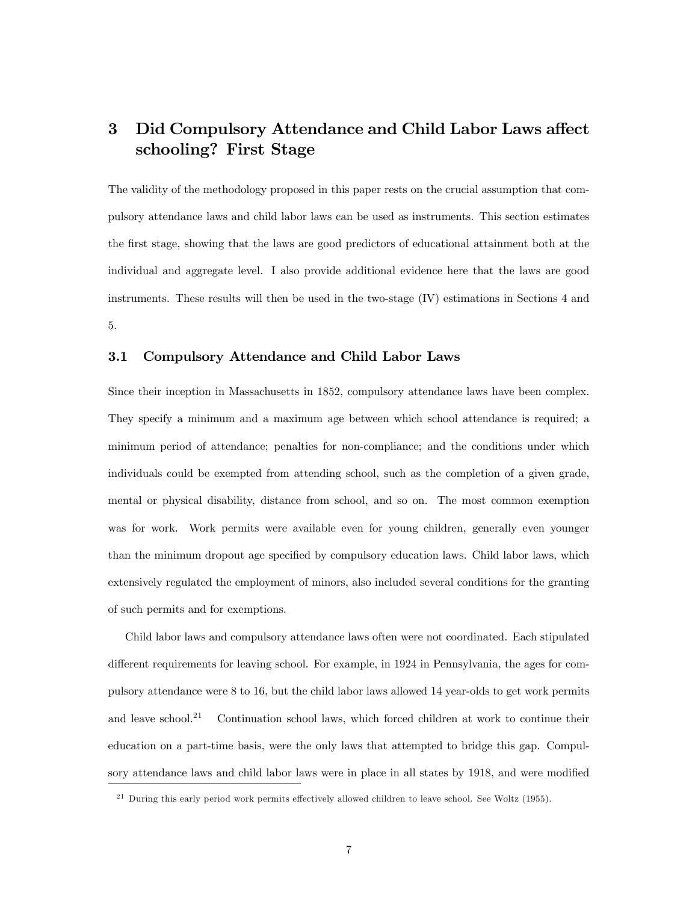# 3 Did Compulsory Attendance and Child Labor Laws affect schooling? First Stage

The validity of the methodology proposed in this paper rests on the crucial assumption that compulsory attendance laws and child labor laws can be used as instruments. This section estimates the first stage, showing that the laws are good predictors of educational attainment both at the individual and aggregate level. I also provide additional evidence here that the laws are good instruments. These results will then be used in the two-stage (IV) estimations in Sections 4 and 5.

## 3.1 Compulsory Attendance and Child Labor Laws

Since their inception in Massachusetts in 1852, compulsory attendance laws have been complex. They specify a minimum and a maximum age between which school attendance is required; a minimum period of attendance; penalties for non-compliance; and the conditions under which individuals could be exempted from attending school, such as the completion of a given grade, mental or physical disability, distance from school, and so on. The most common exemption was for work. Work permits were available even for young children, generally even younger than the minimum dropout age specified by compulsory education laws. Child labor laws, which extensively regulated the employment of minors, also included several conditions for the granting of such permits and for exemptions.

Child labor laws and compulsory attendance laws often were not coordinated. Each stipulated different requirements for leaving school. For example, in 1924 in Pennsylvania, the ages for compulsory attendance were 8 to 16, but the child labor laws allowed 14 year-olds to get work permits and leave school.<sup>21</sup> Continuation school laws, which forced children at work to continue their education on a part-time basis, were the only laws that attempted to bridge this gap. Compulsory attendance laws and child labor laws were in place in all states by 1918, and were modified

 $^{21}$  During this early period work permits effectively allowed children to leave school. See Woltz (1955).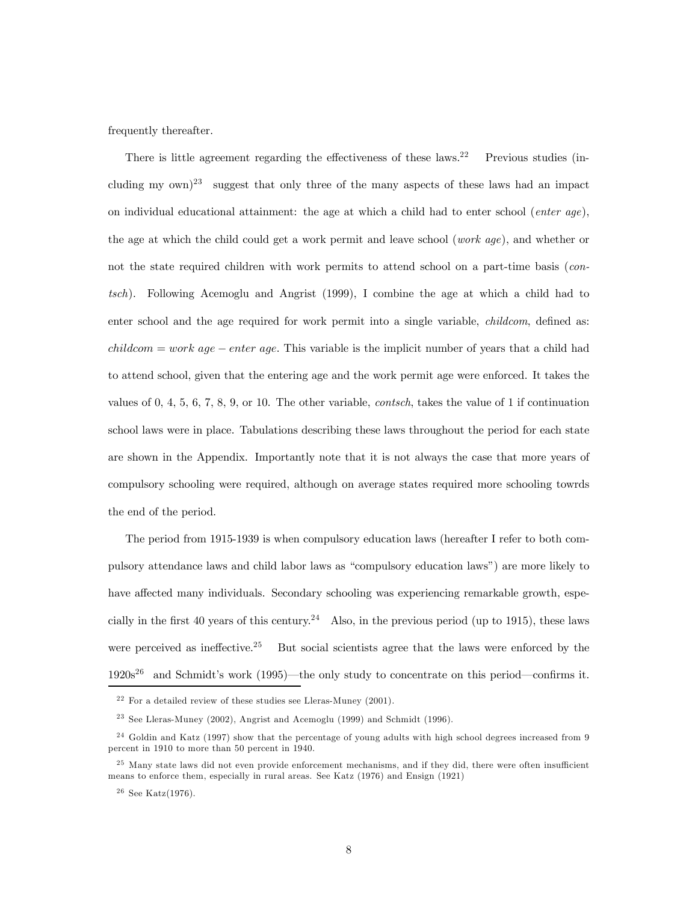frequently thereafter.

There is little agreement regarding the effectiveness of these laws.<sup>22</sup> Previous studies (including my  $(\text{own})^{23}$  suggest that only three of the many aspects of these laws had an impact on individual educational attainment: the age at which a child had to enter school (*enter age*), the age at which the child could get a work permit and leave school (*work age*), and whether or not the state required children with work permits to attend school on a part-time basis (contsch). Following Acemoglu and Angrist (1999), I combine the age at which a child had to enter school and the age required for work permit into a single variable, *childcom*, defined as: *childcom = work age – enter age.* This variable is the implicit number of years that a child had to attend school, given that the entering age and the work permit age were enforced. It takes the values of 0, 4, 5, 6, 7, 8, 9, or 10. The other variable, contsch, takes the value of 1 if continuation school laws were in place. Tabulations describing these laws throughout the period for each state are shown in the Appendix. Importantly note that it is not always the case that more years of compulsory schooling were required, although on average states required more schooling towrds the end of the period.

The period from 1915-1939 is when compulsory education laws (hereafter I refer to both compulsory attendance laws and child labor laws as "compulsory education laws") are more likely to have affected many individuals. Secondary schooling was experiencing remarkable growth, especially in the first 40 years of this century.<sup>24</sup> Also, in the previous period (up to 1915), these laws were perceived as ineffective.<sup>25</sup> But social scientists agree that the laws were enforced by the  $1920s^{26}$  and Schmidt's work (1995)—the only study to concentrate on this period—confirms it.

 $22$  For a detailed review of these studies see Lleras-Muney (2001).

 $23$  See Lleras-Muney (2002), Angrist and Acemoglu (1999) and Schmidt (1996).

<sup>&</sup>lt;sup>24</sup> Goldin and Katz (1997) show that the percentage of young adults with high school degrees increased from 9 percent in 1910 to more than 50 percent in 1940.

 $25$  Many state laws did not even provide enforcement mechanisms, and if they did, there were often insufficient means to enforce them, especially in rural areas. See Katz (1976) and Ensign (1921)

 $26$  See Katz(1976).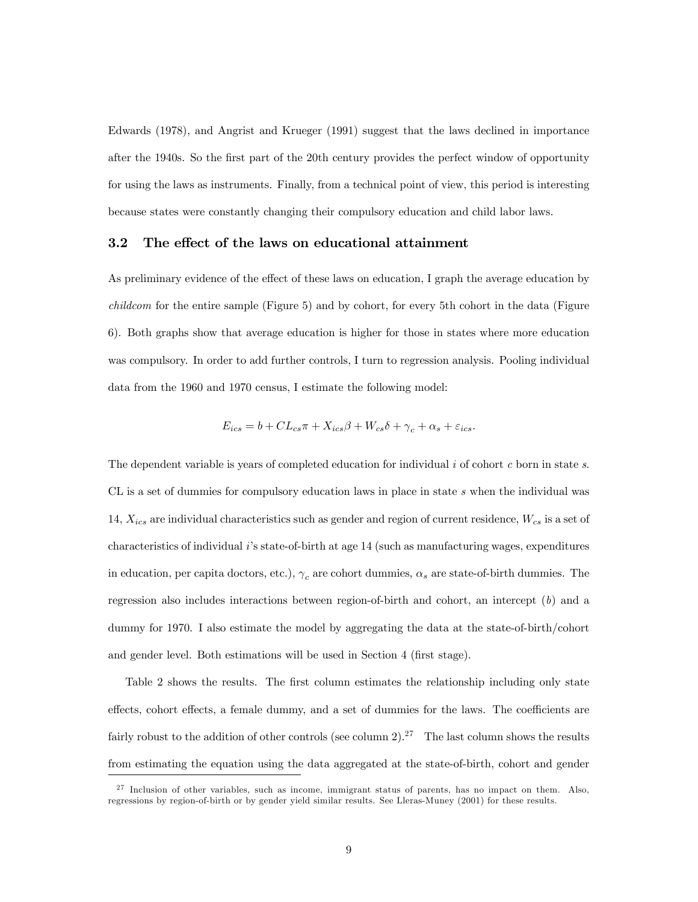Edwards (1978), and Angrist and Krueger (1991) suggest that the laws declined in importance after the 1940s. So the first part of the 20th century provides the perfect window of opportunity for using the laws as instruments. Finally, from a technical point of view, this period is interesting because states were constantly changing their compulsory education and child labor laws.

#### 3.2 The effect of the laws on educational attainment

As preliminary evidence of the effect of these laws on education, I graph the average education by childcom for the entire sample (Figure 5) and by cohort, for every 5th cohort in the data (Figure 6). Both graphs show that average education is higher for those in states where more education was compulsory. In order to add further controls, I turn to regression analysis. Pooling individual data from the 1960 and 1970 census, I estimate the following model:

$$
E_{ics} = b + CL_{cs}\pi + X_{ics}\beta + W_{cs}\delta + \gamma_c + \alpha_s + \varepsilon_{ics}.
$$

The dependent variable is years of completed education for individual  $i$  of cohort  $c$  born in state  $s$ . CL is a set of dummies for compulsory education laws in place in state s when the individual was 14,  $X_{ics}$  are individual characteristics such as gender and region of current residence,  $W_{cs}$  is a set of characteristics of individual i's state-of-birth at age 14 (such as manufacturing wages, expenditures in education, per capita doctors, etc.),  $\gamma_c$  are cohort dummies,  $\alpha_s$  are state-of-birth dummies. The regression also includes interactions between region-of-birth and cohort, an intercept (b) and a dummy for 1970. I also estimate the model by aggregating the data at the state-of-birth/cohort and gender level. Both estimations will be used in Section 4 (first stage).

Table 2 shows the results. The first column estimates the relationship including only state effects, cohort effects, a female dummy, and a set of dummies for the laws. The coefficients are fairly robust to the addition of other controls (see column 2).<sup>27</sup> The last column shows the results from estimating the equation using the data aggregated at the state-of-birth, cohort and gender

 $2<sup>7</sup>$  Inclusion of other variables, such as income, immigrant status of parents, has no impact on them. Also, regressions by region-of-birth or by gender yield similar results. See Lleras-Muney (2001) for these results.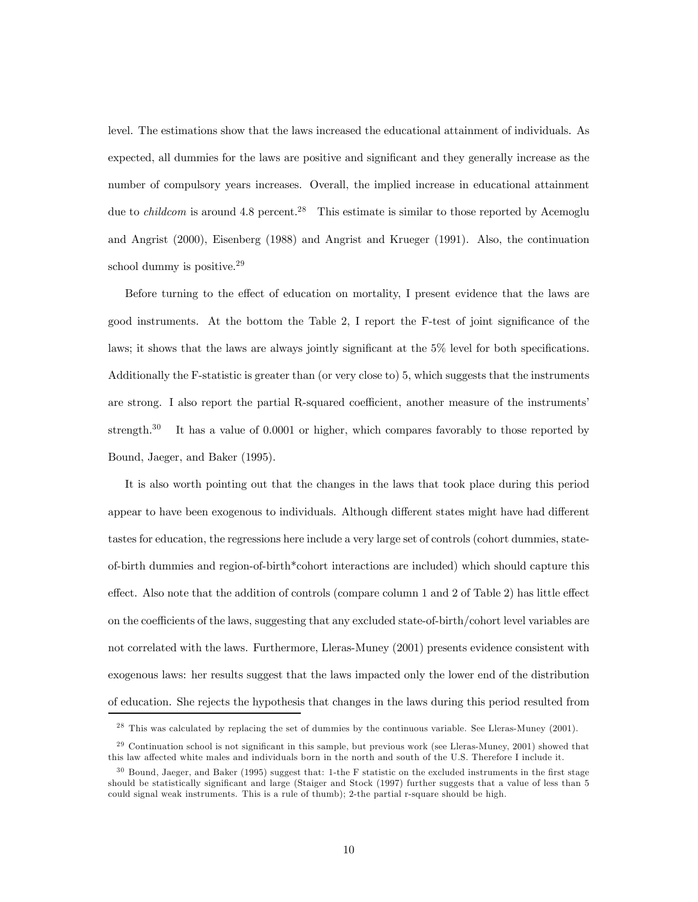level. The estimations show that the laws increased the educational attainment of individuals. As expected, all dummies for the laws are positive and significant and they generally increase as the number of compulsory years increases. Overall, the implied increase in educational attainment due to *childcom* is around  $4.8$  percent.<sup>28</sup> This estimate is similar to those reported by Acemoglu and Angrist (2000), Eisenberg (1988) and Angrist and Krueger (1991). Also, the continuation school dummy is positive.<sup>29</sup>

Before turning to the effect of education on mortality, I present evidence that the laws are good instruments. At the bottom the Table 2, I report the F-test of joint significance of the laws; it shows that the laws are always jointly significant at the 5% level for both specifications. Additionally the F-statistic is greater than (or very close to) 5, which suggests that the instruments are strong. I also report the partial R-squared coefficient, another measure of the instruments' strength. $30$  It has a value of 0.0001 or higher, which compares favorably to those reported by Bound, Jaeger, and Baker (1995).

It is also worth pointing out that the changes in the laws that took place during this period appear to have been exogenous to individuals. Although different states might have had different tastes for education, the regressions here include a very large set of controls (cohort dummies, stateof-birth dummies and region-of-birth\*cohort interactions are included) which should capture this effect. Also note that the addition of controls (compare column 1 and 2 of Table 2) has little effect on the coefficients of the laws, suggesting that any excluded state-of-birth/cohort level variables are not correlated with the laws. Furthermore, Lleras-Muney (2001) presents evidence consistent with exogenous laws: her results suggest that the laws impacted only the lower end of the distribution of education. She rejects the hypothesis that changes in the laws during this period resulted from

<sup>&</sup>lt;sup>28</sup> This was calculated by replacing the set of dummies by the continuous variable. See Lleras-Muney (2001).

<sup>&</sup>lt;sup>29</sup> Continuation school is not significant in this sample, but previous work (see Lleras-Muney, 2001) showed that this law affected white males and individuals born in the north and south of the U.S. Therefore I include it.

 $30$  Bound, Jaeger, and Baker (1995) suggest that: 1-the F statistic on the excluded instruments in the first stage should be statistically significant and large (Staiger and Stock (1997) further suggests that a value of less than 5 could signal weak instruments. This is a rule of thumb); 2-the partial r-square should be high.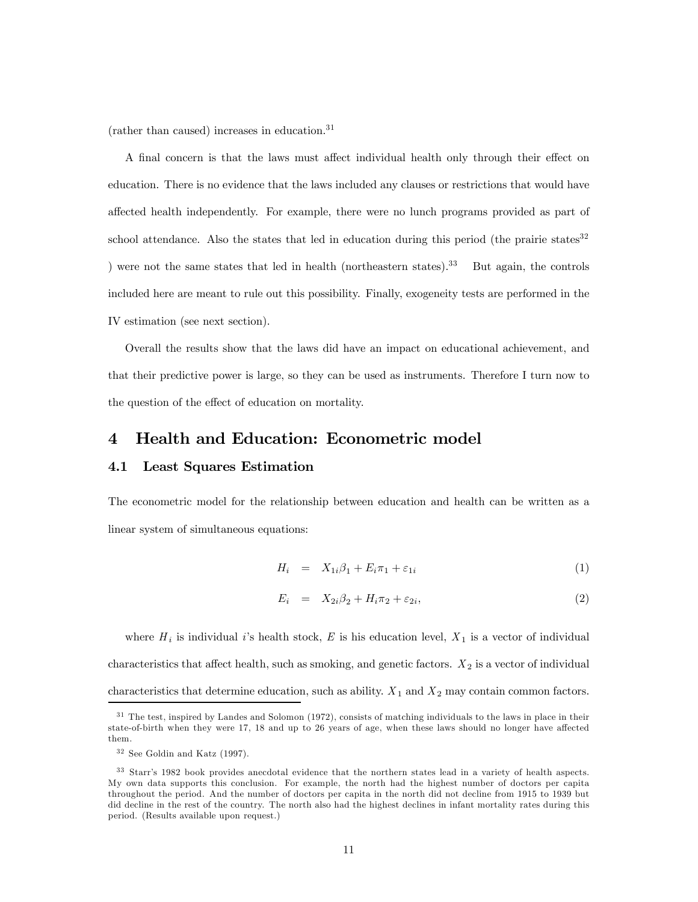(rather than caused) increases in education.<sup>31</sup>

A final concern is that the laws must affect individual health only through their effect on education. There is no evidence that the laws included any clauses or restrictions that would have affected health independently. For example, there were no lunch programs provided as part of school attendance. Also the states that led in education during this period (the prairie states $32$ ) ) were not the same states that led in health (northeastern states).<sup>33</sup> But again, the controls included here are meant to rule out this possibility. Finally, exogeneity tests are performed in the IV estimation (see next section).

Overall the results show that the laws did have an impact on educational achievement, and that their predictive power is large, so they can be used as instruments. Therefore I turn now to the question of the effect of education on mortality.

# 4 Health and Education: Econometric model

### 4.1 Least Squares Estimation

The econometric model for the relationship between education and health can be written as a linear system of simultaneous equations:

$$
H_i = X_{1i}\beta_1 + E_i\pi_1 + \varepsilon_{1i} \tag{1}
$$

$$
E_i = X_{2i}\beta_2 + H_i\pi_2 + \varepsilon_{2i},\tag{2}
$$

where  $H_i$  is individual i's health stock, E is his education level,  $X_1$  is a vector of individual characteristics that affect health, such as smoking, and genetic factors.  $X_2$  is a vector of individual characteristics that determine education, such as ability.  $X_1$  and  $X_2$  may contain common factors.

 $31$  The test, inspired by Landes and Solomon (1972), consists of matching individuals to the laws in place in their state-of-birth when they were 17, 18 and up to 26 years of age, when these laws should no longer have affected them.

 $32$  See Goldin and Katz (1997).

<sup>&</sup>lt;sup>33</sup> Starr's 1982 book provides anecdotal evidence that the northern states lead in a variety of health aspects. My own data supports this conclusion. For example, the north had the highest number of doctors per capita throughout the period. And the number of doctors per capita in the north did not decline from 1915 to 1939 but did decline in the rest of the country. The north also had the highest declines in infant mortality rates during this period. (Results available upon request.)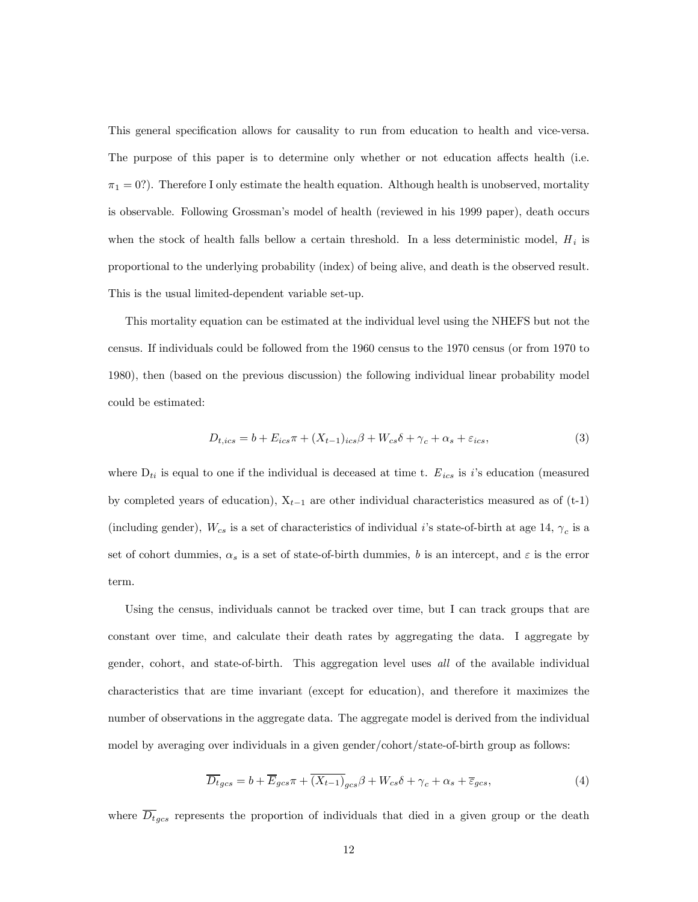This general specification allows for causality to run from education to health and vice-versa. The purpose of this paper is to determine only whether or not education affects health (i.e.  $\pi_1 = 0$ ?). Therefore I only estimate the health equation. Although health is unobserved, mortality is observable. Following Grossman's model of health (reviewed in his 1999 paper), death occurs when the stock of health falls bellow a certain threshold. In a less deterministic model,  $H_i$  is proportional to the underlying probability (index) of being alive, and death is the observed result. This is the usual limited-dependent variable set-up.

This mortality equation can be estimated at the individual level using the NHEFS but not the census. If individuals could be followed from the 1960 census to the 1970 census (or from 1970 to 1980), then (based on the previous discussion) the following individual linear probability model could be estimated:

$$
D_{t,ics} = b + E_{ics}\pi + (X_{t-1})_{ics}\beta + W_{cs}\delta + \gamma_c + \alpha_s + \varepsilon_{ics},\tag{3}
$$

where  $D_{ti}$  is equal to one if the individual is deceased at time t.  $E_{ics}$  is i's education (measured by completed years of education),  $X_{t-1}$  are other individual characteristics measured as of (t-1) (including gender),  $W_{cs}$  is a set of characteristics of individual i's state-of-birth at age 14,  $\gamma_c$  is a set of cohort dummies,  $\alpha_s$  is a set of state-of-birth dummies, b is an intercept, and  $\varepsilon$  is the error term.

Using the census, individuals cannot be tracked over time, but I can track groups that are constant over time, and calculate their death rates by aggregating the data. I aggregate by gender, cohort, and state-of-birth. This aggregation level uses all of the available individual characteristics that are time invariant (except for education), and therefore it maximizes the number of observations in the aggregate data. The aggregate model is derived from the individual model by averaging over individuals in a given gender/cohort/state-of-birth group as follows:

$$
\overline{D_t}_{gcs} = b + \overline{E}_{gcs} \pi + \overline{(X_{t-1})}_{gcs} \beta + W_{cs} \delta + \gamma_c + \alpha_s + \overline{\varepsilon}_{gcs},\tag{4}
$$

where  $\overline{D_t}_{gcs}$  represents the proportion of individuals that died in a given group or the death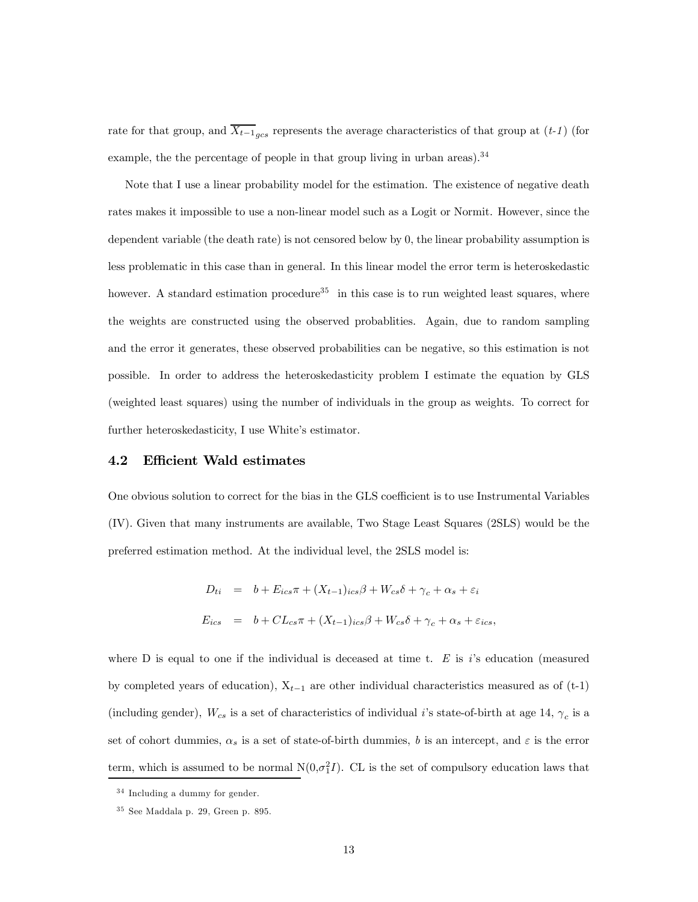rate for that group, and  $\overline{X_{t-1}}_{acs}$  represents the average characteristics of that group at (t-1) (for example, the the percentage of people in that group living in urban areas).  $34$ 

Note that I use a linear probability model for the estimation. The existence of negative death rates makes it impossible to use a non-linear model such as a Logit or Normit. However, since the dependent variable (the death rate) is not censored below by 0, the linear probability assumption is less problematic in this case than in general. In this linear model the error term is heteroskedastic however. A standard estimation procedure<sup>35</sup> in this case is to run weighted least squares, where the weights are constructed using the observed probablities. Again, due to random sampling and the error it generates, these observed probabilities can be negative, so this estimation is not possible. In order to address the heteroskedasticity problem I estimate the equation by GLS (weighted least squares) using the number of individuals in the group as weights. To correct for further heteroskedasticity, I use White's estimator.

### 4.2 Efficient Wald estimates

One obvious solution to correct for the bias in the GLS coefficient is to use Instrumental Variables (IV). Given that many instruments are available, Two Stage Least Squares (2SLS) would be the preferred estimation method. At the individual level, the 2SLS model is:

$$
D_{ti} = b + E_{ics}\pi + (X_{t-1})_{ics}\beta + W_{cs}\delta + \gamma_c + \alpha_s + \varepsilon_i
$$
  

$$
E_{ics} = b + CL_{cs}\pi + (X_{t-1})_{ics}\beta + W_{cs}\delta + \gamma_c + \alpha_s + \varepsilon_{ics},
$$

where  $D$  is equal to one if the individual is deceased at time t.  $E$  is i's education (measured by completed years of education),  $X_{t-1}$  are other individual characteristics measured as of (t-1) (including gender),  $W_{cs}$  is a set of characteristics of individual *i*'s state-of-birth at age 14,  $\gamma_c$  is a set of cohort dummies,  $\alpha_s$  is a set of state-of-birth dummies, b is an intercept, and  $\varepsilon$  is the error term, which is assumed to be normal  $N(0, \sigma_1^2 I)$ . CL is the set of compulsory education laws that

 $34$  Including a dummy for gender.

 $35$  See Maddala p. 29, Green p. 895.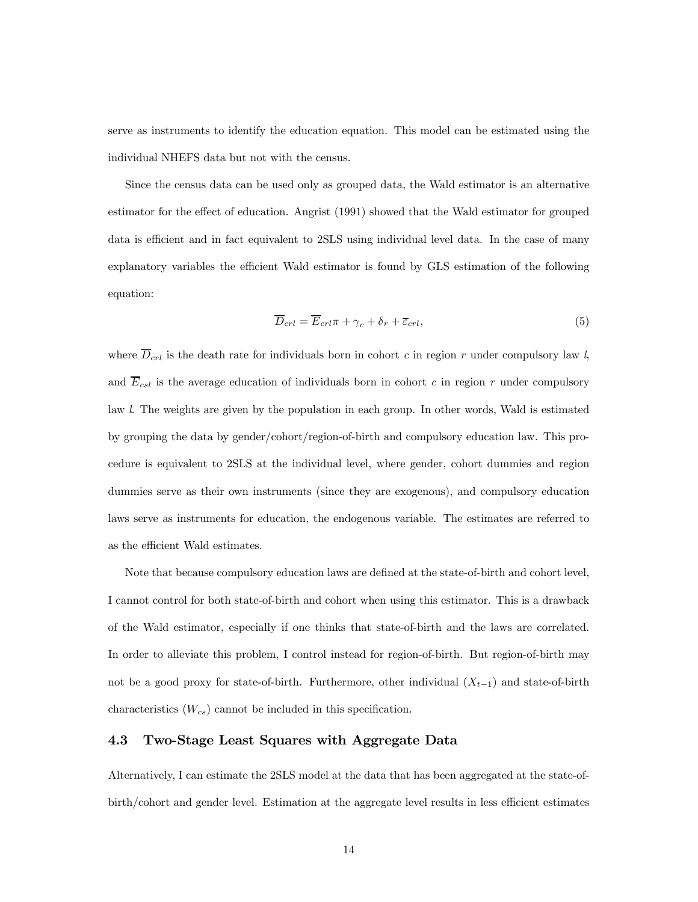serve as instruments to identify the education equation. This model can be estimated using the individual NHEFS data but not with the census.

Since the census data can be used only as grouped data, the Wald estimator is an alternative estimator for the effect of education. Angrist (1991) showed that the Wald estimator for grouped data is efficient and in fact equivalent to 2SLS using individual level data. In the case of many explanatory variables the efficient Wald estimator is found by GLS estimation of the following equation:

$$
\overline{D}_{crl} = \overline{E}_{crl}\pi + \gamma_c + \delta_r + \overline{\epsilon}_{crl},\tag{5}
$$

where  $\overline{D}_{crl}$  is the death rate for individuals born in cohort c in region r under compulsory law l, and  $\overline{E}_{csl}$  is the average education of individuals born in cohort c in region r under compulsory law l. The weights are given by the population in each group. In other words, Wald is estimated by grouping the data by gender/cohort/region-of-birth and compulsory education law. This procedure is equivalent to 2SLS at the individual level, where gender, cohort dummies and region dummies serve as their own instruments (since they are exogenous), and compulsory education laws serve as instruments for education, the endogenous variable. The estimates are referred to as the efficient Wald estimates.

Note that because compulsory education laws are defined at the state-of-birth and cohort level, I cannot control for both state-of-birth and cohort when using this estimator. This is a drawback of the Wald estimator, especially if one thinks that state-of-birth and the laws are correlated. In order to alleviate this problem, I control instead for region-of-birth. But region-of-birth may not be a good proxy for state-of-birth. Furthermore, other individual  $(X_{t-1})$  and state-of-birth characteristics  $(W_{cs})$  cannot be included in this specification.

# 4.3 Two-Stage Least Squares with Aggregate Data

Alternatively, I can estimate the 2SLS model at the data that has been aggregated at the state-ofbirth/cohort and gender level. Estimation at the aggregate level results in less efficient estimates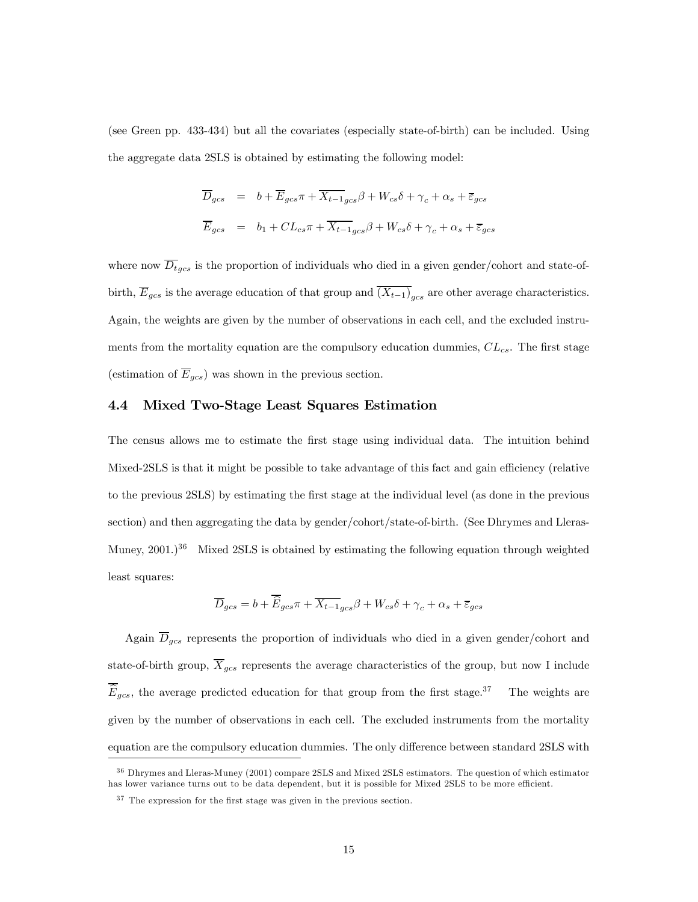(see Green pp. 433-434) but all the covariates (especially state-of-birth) can be included. Using the aggregate data 2SLS is obtained by estimating the following model:

$$
\overline{D}_{gcs} = b + \overline{E}_{gcs} \pi + \overline{X_{t-1}}_{gcs} \beta + W_{cs} \delta + \gamma_c + \alpha_s + \overline{\varepsilon}_{gcs}
$$
\n
$$
\overline{E}_{gcs} = b_1 + CL_{cs} \pi + \overline{X_{t-1}}_{gcs} \beta + W_{cs} \delta + \gamma_c + \alpha_s + \overline{\varepsilon}_{gcs}
$$

where now  $\overline{D}_{tgcs}$  is the proportion of individuals who died in a given gender/cohort and state-ofbirth,  $\overline{E}_{gcs}$  is the average education of that group and  $\overline{(X_{t-1})}_{gcs}$  are other average characteristics. Again, the weights are given by the number of observations in each cell, and the excluded instruments from the mortality equation are the compulsory education dummies,  $CL_{cs}$ . The first stage (estimation of  $\overline{E}_{gcs}$ ) was shown in the previous section.

### 4.4 Mixed Two-Stage Least Squares Estimation

The census allows me to estimate the first stage using individual data. The intuition behind Mixed-2SLS is that it might be possible to take advantage of this fact and gain efficiency (relative to the previous 2SLS) by estimating the first stage at the individual level (as done in the previous section) and then aggregating the data by gender/cohort/state-of-birth. (See Dhrymes and Lleras-Muney,  $2001$ .)<sup>36</sup> Mixed 2SLS is obtained by estimating the following equation through weighted least squares:

$$
\overline{D}_{gcs} = b + \overline{\widehat{E}}_{gcs}\pi + \overline{X_{t-1}}_{gcs}\beta + W_{cs}\delta + \gamma_c + \alpha_s + \overline{\varepsilon}_{gcs}
$$

Again  $\overline{D}_{gcs}$  represents the proportion of individuals who died in a given gender/cohort and state-of-birth group,  $\overline{X}_{gcs}$  represents the average characteristics of the group, but now I include  $\widehat{E}_{gcs}$ , the average predicted education for that group from the first stage.<sup>37</sup> The weights are given by the number of observations in each cell. The excluded instruments from the mortality equation are the compulsory education dummies. The only difference between standard 2SLS with

<sup>&</sup>lt;sup>36</sup> Dhrymes and Lleras-Muney (2001) compare 2SLS and Mixed 2SLS estimators. The question of which estimator has lower variance turns out to be data dependent, but it is possible for Mixed 2SLS to be more efficient.

 $37$  The expression for the first stage was given in the previous section.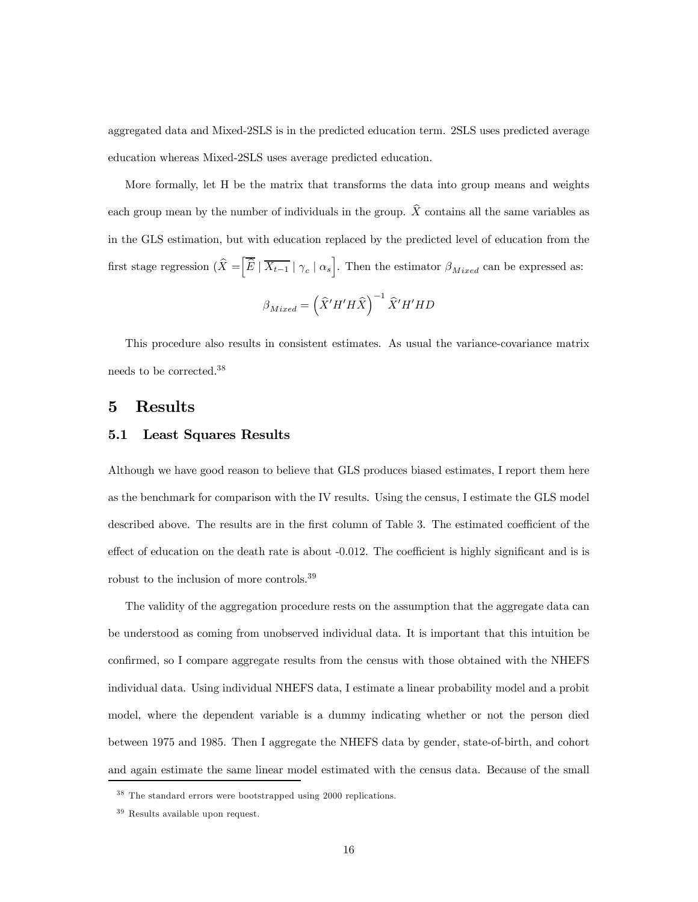aggregated data and Mixed-2SLS is in the predicted education term. 2SLS uses predicted average education whereas Mixed-2SLS uses average predicted education.

More formally, let H be the matrix that transforms the data into group means and weights each group mean by the number of individuals in the group.  $\hat{X}$  contains all the same variables as in the GLS estimation, but with education replaced by the predicted level of education from the first stage regression  $\left(\widehat{X} = \left| \overline{\widehat{E}} \mid \overline{X_{t-1}} \mid \gamma_c \mid \alpha_s \right|\right)$ . Then the estimator  $\beta_{Mixed}$  can be expressed as:

$$
\beta_{Mixed} = \left(\widehat{X}' H' H \widehat{X}\right)^{-1} \widehat{X}' H' H D
$$

This procedure also results in consistent estimates. As usual the variance-covariance matrix needs to be corrected.38

# 5 Results

## 5.1 Least Squares Results

Although we have good reason to believe that GLS produces biased estimates, I report them here as the benchmark for comparison with the IV results. Using the census, I estimate the GLS model described above. The results are in the first column of Table 3. The estimated coefficient of the effect of education on the death rate is about -0.012. The coefficient is highly significant and is is robust to the inclusion of more controls.<sup>39</sup>

The validity of the aggregation procedure rests on the assumption that the aggregate data can be understood as coming from unobserved individual data. It is important that this intuition be confirmed, so I compare aggregate results from the census with those obtained with the NHEFS individual data. Using individual NHEFS data, I estimate a linear probability model and a probit model, where the dependent variable is a dummy indicating whether or not the person died between 1975 and 1985. Then I aggregate the NHEFS data by gender, state-of-birth, and cohort and again estimate the same linear model estimated with the census data. Because of the small

<sup>&</sup>lt;sup>38</sup> The standard errors were bootstrapped using 2000 replications.

 $39$  Results available upon request.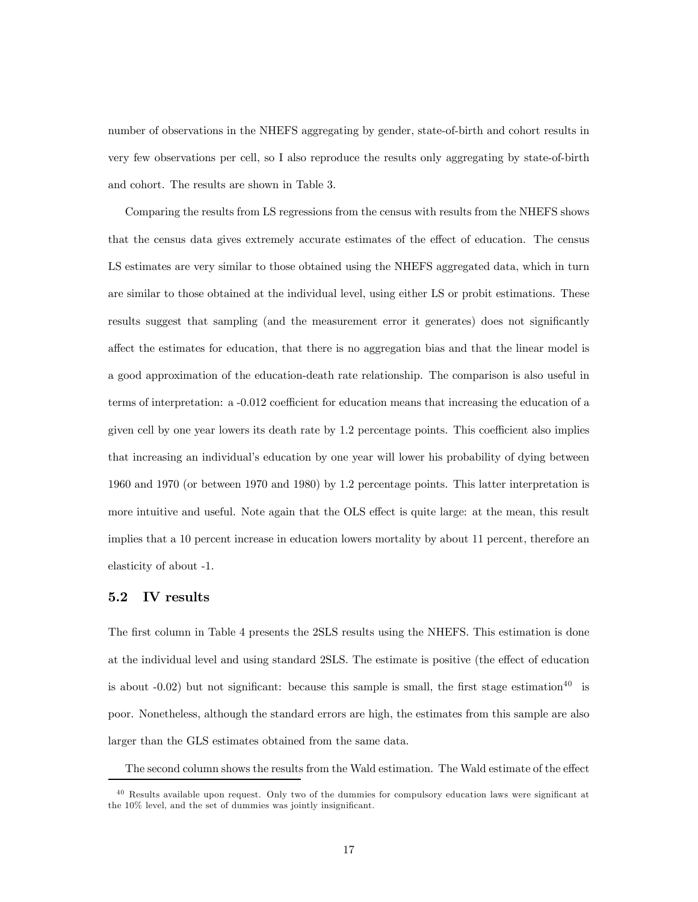number of observations in the NHEFS aggregating by gender, state-of-birth and cohort results in very few observations per cell, so I also reproduce the results only aggregating by state-of-birth and cohort. The results are shown in Table 3.

Comparing the results from LS regressions from the census with results from the NHEFS shows that the census data gives extremely accurate estimates of the effect of education. The census LS estimates are very similar to those obtained using the NHEFS aggregated data, which in turn are similar to those obtained at the individual level, using either LS or probit estimations. These results suggest that sampling (and the measurement error it generates) does not significantly affect the estimates for education, that there is no aggregation bias and that the linear model is a good approximation of the education-death rate relationship. The comparison is also useful in terms of interpretation: a -0.012 coefficient for education means that increasing the education of a given cell by one year lowers its death rate by 1.2 percentage points. This coefficient also implies that increasing an individual's education by one year will lower his probability of dying between 1960 and 1970 (or between 1970 and 1980) by 1.2 percentage points. This latter interpretation is more intuitive and useful. Note again that the OLS effect is quite large: at the mean, this result implies that a 10 percent increase in education lowers mortality by about 11 percent, therefore an elasticity of about -1.

# 5.2 IV results

The first column in Table 4 presents the 2SLS results using the NHEFS. This estimation is done at the individual level and using standard 2SLS. The estimate is positive (the effect of education is about  $-0.02$ ) but not significant: because this sample is small, the first stage estimation<sup>40</sup> is poor. Nonetheless, although the standard errors are high, the estimates from this sample are also larger than the GLS estimates obtained from the same data.

The second column shows the results from the Wald estimation. The Wald estimate of the effect

<sup>&</sup>lt;sup>40</sup> Results available upon request. Only two of the dummies for compulsory education laws were significant at the 10% level, and the set of dummies was jointly insignificant.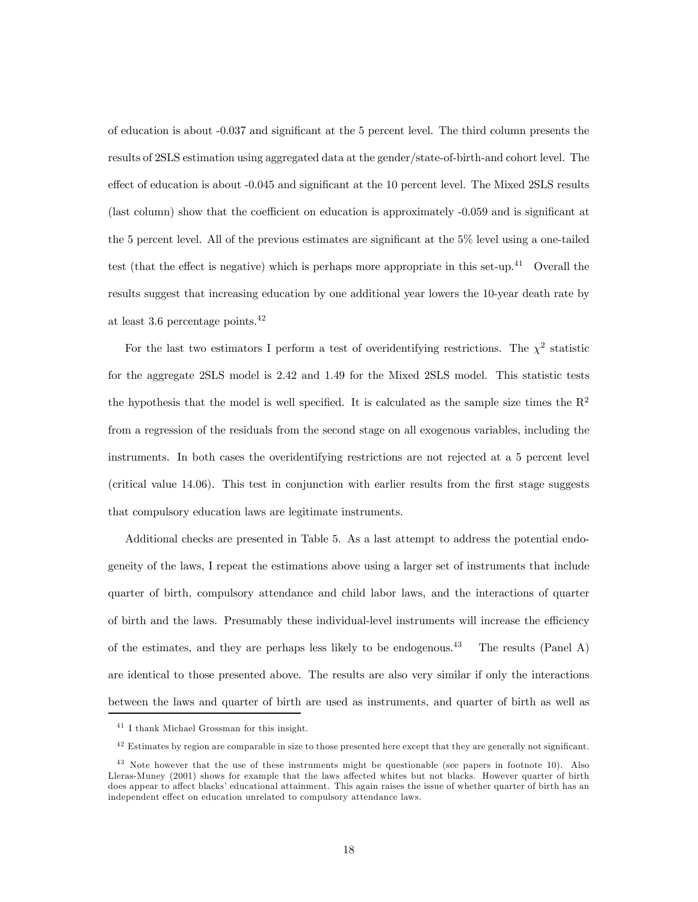of education is about -0.037 and significant at the 5 percent level. The third column presents the results of 2SLS estimation using aggregated data at the gender/state-of-birth-and cohort level. The effect of education is about -0.045 and significant at the 10 percent level. The Mixed 2SLS results (last column) show that the coefficient on education is approximately -0.059 and is significant at the 5 percent level. All of the previous estimates are significant at the 5% level using a one-tailed test (that the effect is negative) which is perhaps more appropriate in this set-up.<sup>41</sup> Overall the results suggest that increasing education by one additional year lowers the 10-year death rate by at least 3.6 percentage points.42

For the last two estimators I perform a test of overidentifying restrictions. The  $\chi^2$  statistic for the aggregate 2SLS model is 2.42 and 1.49 for the Mixed 2SLS model. This statistic tests the hypothesis that the model is well specified. It is calculated as the sample size times the  $\mathbb{R}^2$ from a regression of the residuals from the second stage on all exogenous variables, including the instruments. In both cases the overidentifying restrictions are not rejected at a 5 percent level (critical value 14.06). This test in conjunction with earlier results from the first stage suggests that compulsory education laws are legitimate instruments.

Additional checks are presented in Table 5. As a last attempt to address the potential endogeneity of the laws, I repeat the estimations above using a larger set of instruments that include quarter of birth, compulsory attendance and child labor laws, and the interactions of quarter of birth and the laws. Presumably these individual-level instruments will increase the efficiency of the estimates, and they are perhaps less likely to be endogenous.<sup>43</sup> The results (Panel A) are identical to those presented above. The results are also very similar if only the interactions between the laws and quarter of birth are used as instruments, and quarter of birth as well as

<sup>&</sup>lt;sup>41</sup> I thank Michael Grossman for this insight.

 $42$  Estimates by region are comparable in size to those presented here except that they are generally not significant.

<sup>&</sup>lt;sup>43</sup> Note however that the use of these instruments might be questionable (see papers in footnote 10). Also Lleras-Muney (2001) shows for example that the laws affected whites but not blacks. However quarter of birth does appear to affect blacks' educational attainment. This again raises the issue of whether quarter of birth has an independent effect on education unrelated to compulsory attendance laws.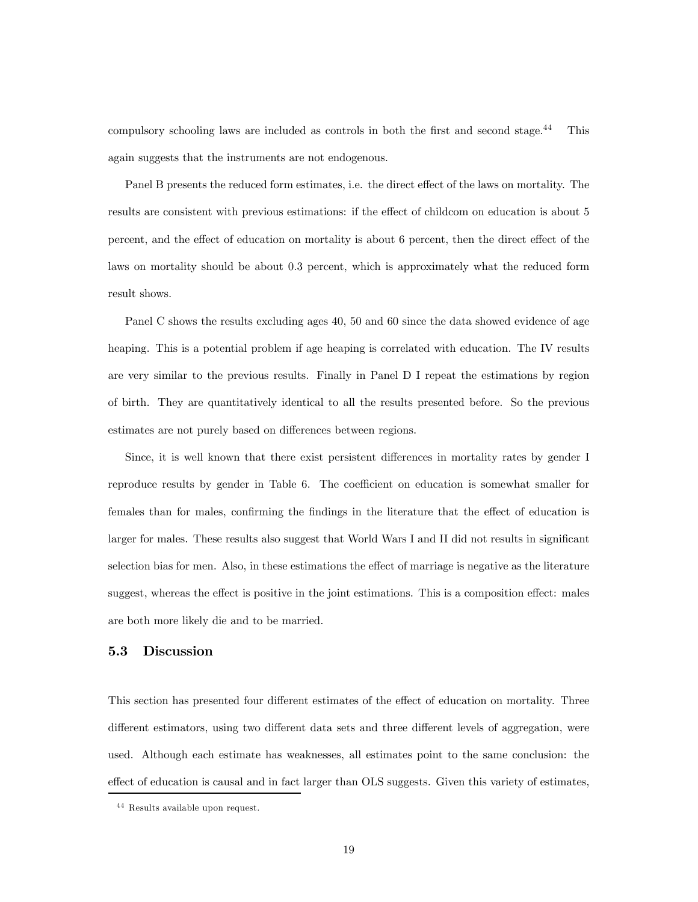compulsory schooling laws are included as controls in both the first and second stage.<sup>44</sup> This again suggests that the instruments are not endogenous.

Panel B presents the reduced form estimates, i.e. the direct effect of the laws on mortality. The results are consistent with previous estimations: if the effect of childcom on education is about 5 percent, and the effect of education on mortality is about 6 percent, then the direct effect of the laws on mortality should be about 0.3 percent, which is approximately what the reduced form result shows.

Panel C shows the results excluding ages 40, 50 and 60 since the data showed evidence of age heaping. This is a potential problem if age heaping is correlated with education. The IV results are very similar to the previous results. Finally in Panel D I repeat the estimations by region of birth. They are quantitatively identical to all the results presented before. So the previous estimates are not purely based on differences between regions.

Since, it is well known that there exist persistent differences in mortality rates by gender I reproduce results by gender in Table 6. The coefficient on education is somewhat smaller for females than for males, confirming the findings in the literature that the effect of education is larger for males. These results also suggest that World Wars I and II did not results in significant selection bias for men. Also, in these estimations the effect of marriage is negative as the literature suggest, whereas the effect is positive in the joint estimations. This is a composition effect: males are both more likely die and to be married.

## 5.3 Discussion

This section has presented four different estimates of the effect of education on mortality. Three different estimators, using two different data sets and three different levels of aggregation, were used. Although each estimate has weaknesses, all estimates point to the same conclusion: the effect of education is causal and in fact larger than OLS suggests. Given this variety of estimates,

 $^{\rm 44}$  Results available upon request.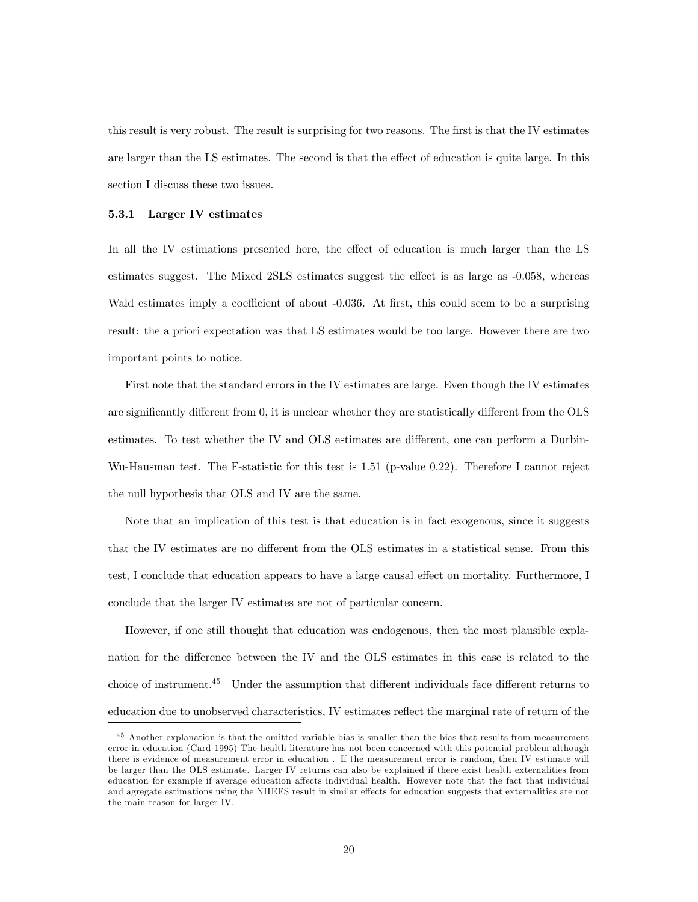this result is very robust. The result is surprising for two reasons. The first is that the IV estimates are larger than the LS estimates. The second is that the effect of education is quite large. In this section I discuss these two issues.

#### 5.3.1 Larger IV estimates

In all the IV estimations presented here, the effect of education is much larger than the LS estimates suggest. The Mixed 2SLS estimates suggest the effect is as large as -0.058, whereas Wald estimates imply a coefficient of about -0.036. At first, this could seem to be a surprising result: the a priori expectation was that LS estimates would be too large. However there are two important points to notice.

First note that the standard errors in the IV estimates are large. Even though the IV estimates are significantly different from 0, it is unclear whether they are statistically different from the OLS estimates. To test whether the IV and OLS estimates are different, one can perform a Durbin-Wu-Hausman test. The F-statistic for this test is 1.51 (p-value 0.22). Therefore I cannot reject the null hypothesis that OLS and IV are the same.

Note that an implication of this test is that education is in fact exogenous, since it suggests that the IV estimates are no different from the OLS estimates in a statistical sense. From this test, I conclude that education appears to have a large causal effect on mortality. Furthermore, I conclude that the larger IV estimates are not of particular concern.

However, if one still thought that education was endogenous, then the most plausible explanation for the difference between the IV and the OLS estimates in this case is related to the choice of instrument.45 Under the assumption that different individuals face different returns to education due to unobserved characteristics, IV estimates reflect the marginal rate of return of the

<sup>&</sup>lt;sup>45</sup> Another explanation is that the omitted variable bias is smaller than the bias that results from measurement error in education (Card 1995) The health literature has not been concerned with this potential problem although there is evidence of measurement error in education . If the measurement error is random, then IV estimate will be larger than the OLS estimate. Larger IV returns can also be explained if there exist health externalities from education for example if average education affects individual health. However note that the fact that individual and agregate estimations using the NHEFS result in similar effects for education suggests that externalities are not the main reason for larger IV.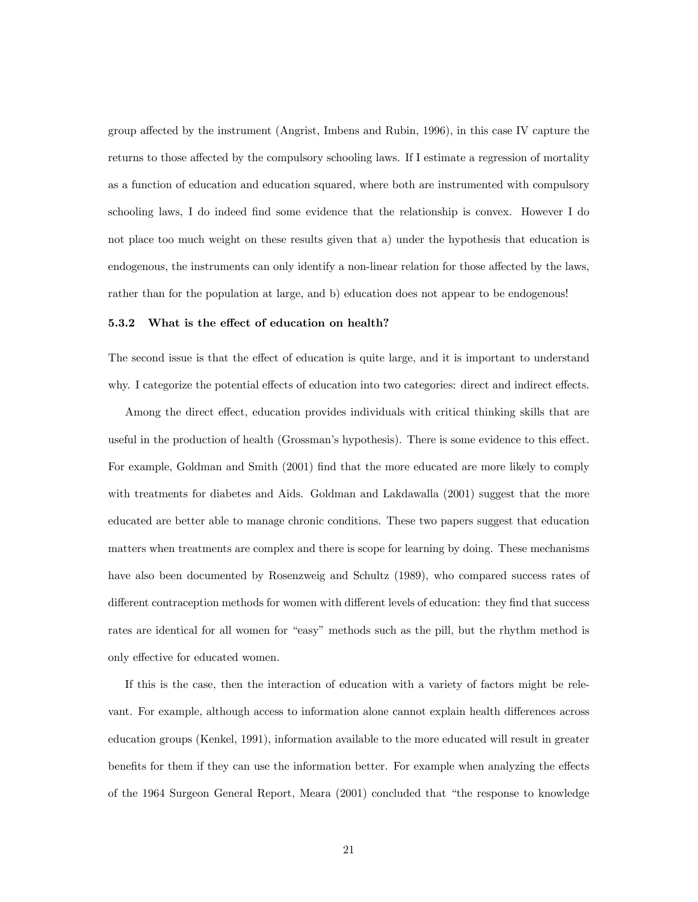group affected by the instrument (Angrist, Imbens and Rubin, 1996), in this case IV capture the returns to those affected by the compulsory schooling laws. If I estimate a regression of mortality as a function of education and education squared, where both are instrumented with compulsory schooling laws, I do indeed find some evidence that the relationship is convex. However I do not place too much weight on these results given that a) under the hypothesis that education is endogenous, the instruments can only identify a non-linear relation for those affected by the laws, rather than for the population at large, and b) education does not appear to be endogenous!

#### 5.3.2 What is the effect of education on health?

The second issue is that the effect of education is quite large, and it is important to understand why. I categorize the potential effects of education into two categories: direct and indirect effects.

Among the direct effect, education provides individuals with critical thinking skills that are useful in the production of health (Grossman's hypothesis). There is some evidence to this effect. For example, Goldman and Smith (2001) find that the more educated are more likely to comply with treatments for diabetes and Aids. Goldman and Lakdawalla  $(2001)$  suggest that the more educated are better able to manage chronic conditions. These two papers suggest that education matters when treatments are complex and there is scope for learning by doing. These mechanisms have also been documented by Rosenzweig and Schultz (1989), who compared success rates of different contraception methods for women with different levels of education: they find that success rates are identical for all women for "easy" methods such as the pill, but the rhythm method is only effective for educated women.

If this is the case, then the interaction of education with a variety of factors might be relevant. For example, although access to information alone cannot explain health differences across education groups (Kenkel, 1991), information available to the more educated will result in greater benefits for them if they can use the information better. For example when analyzing the effects of the 1964 Surgeon General Report, Meara (2001) concluded that "the response to knowledge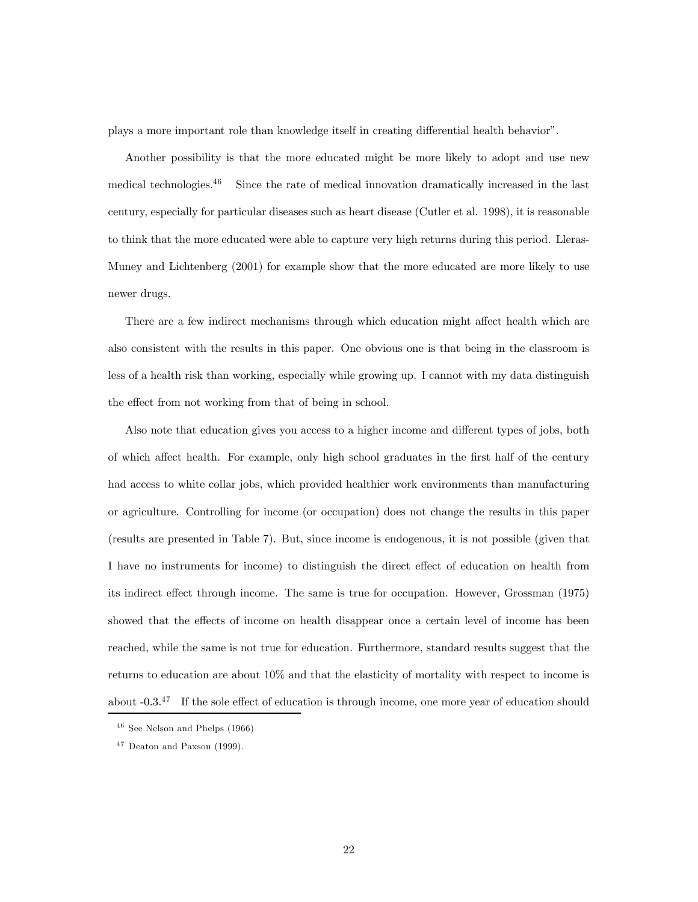plays a more important role than knowledge itself in creating differential health behavior".

Another possibility is that the more educated might be more likely to adopt and use new medical technologies. $46$  Since the rate of medical innovation dramatically increased in the last century, especially for particular diseases such as heart disease (Cutler et al. 1998), it is reasonable to think that the more educated were able to capture very high returns during this period. Lleras-Muney and Lichtenberg (2001) for example show that the more educated are more likely to use newer drugs.

There are a few indirect mechanisms through which education might affect health which are also consistent with the results in this paper. One obvious one is that being in the classroom is less of a health risk than working, especially while growing up. I cannot with my data distinguish the effect from not working from that of being in school.

Also note that education gives you access to a higher income and different types of jobs, both of which affect health. For example, only high school graduates in the first half of the century had access to white collar jobs, which provided healthier work environments than manufacturing or agriculture. Controlling for income (or occupation) does not change the results in this paper (results are presented in Table 7). But, since income is endogenous, it is not possible (given that I have no instruments for income) to distinguish the direct effect of education on health from its indirect effect through income. The same is true for occupation. However, Grossman (1975) showed that the effects of income on health disappear once a certain level of income has been reached, while the same is not true for education. Furthermore, standard results suggest that the returns to education are about 10% and that the elasticity of mortality with respect to income is about -0.3.47 If the sole effect of education is through income, one more year of education should

 $46$  See Nelson and Phelps (1966)

 $47$  Deaton and Paxson (1999).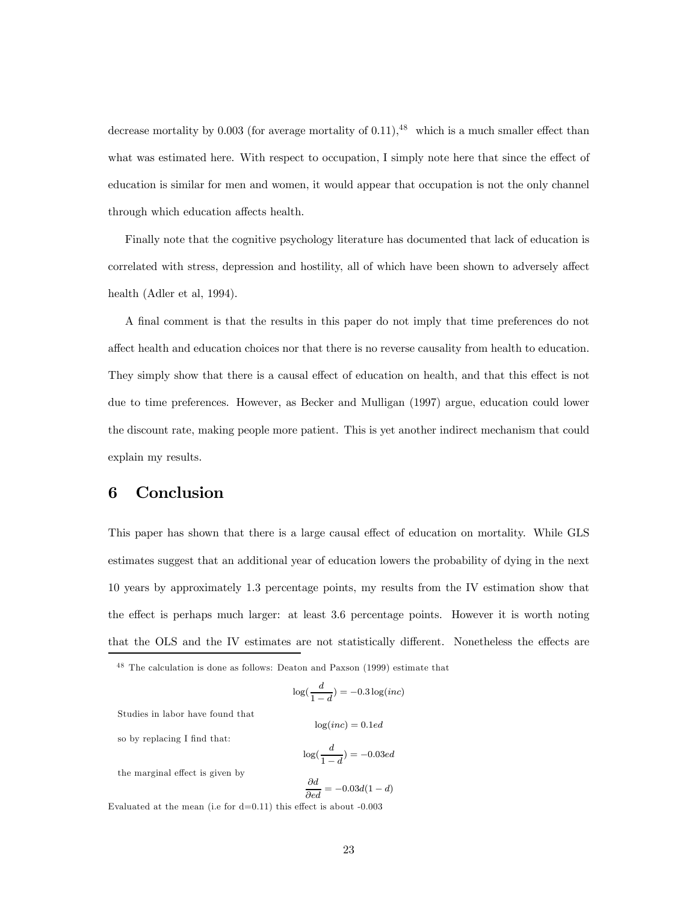decrease mortality by 0.003 (for average mortality of  $(0.11)$ , <sup>48</sup> which is a much smaller effect than what was estimated here. With respect to occupation, I simply note here that since the effect of education is similar for men and women, it would appear that occupation is not the only channel through which education affects health.

Finally note that the cognitive psychology literature has documented that lack of education is correlated with stress, depression and hostility, all of which have been shown to adversely affect health (Adler et al, 1994).

A final comment is that the results in this paper do not imply that time preferences do not affect health and education choices nor that there is no reverse causality from health to education. They simply show that there is a causal effect of education on health, and that this effect is not due to time preferences. However, as Becker and Mulligan (1997) argue, education could lower the discount rate, making people more patient. This is yet another indirect mechanism that could explain my results.

# 6 Conclusion

This paper has shown that there is a large causal effect of education on mortality. While GLS estimates suggest that an additional year of education lowers the probability of dying in the next 10 years by approximately 1.3 percentage points, my results from the IV estimation show that the effect is perhaps much larger: at least 3.6 percentage points. However it is worth noting that the OLS and the IV estimates are not statistically different. Nonetheless the effects are

$$
\log(\frac{d}{1-d}) = -0.3 \log(inc)
$$

 $log(inc)=0.1ed$ 

Studies in labor have found that

so by replacing I find that:

$$
\log(\frac{d}{1-d})=-0.03ed
$$

the marginal effect is given by

$$
\frac{\partial d}{\partial ed} = -0.03d(1 - d)
$$

Evaluated at the mean (i.e for  $d=0.11$ ) this effect is about  $-0.003$ 

<sup>&</sup>lt;sup>48</sup> The calculation is done as follows: Deaton and Paxson (1999) estimate that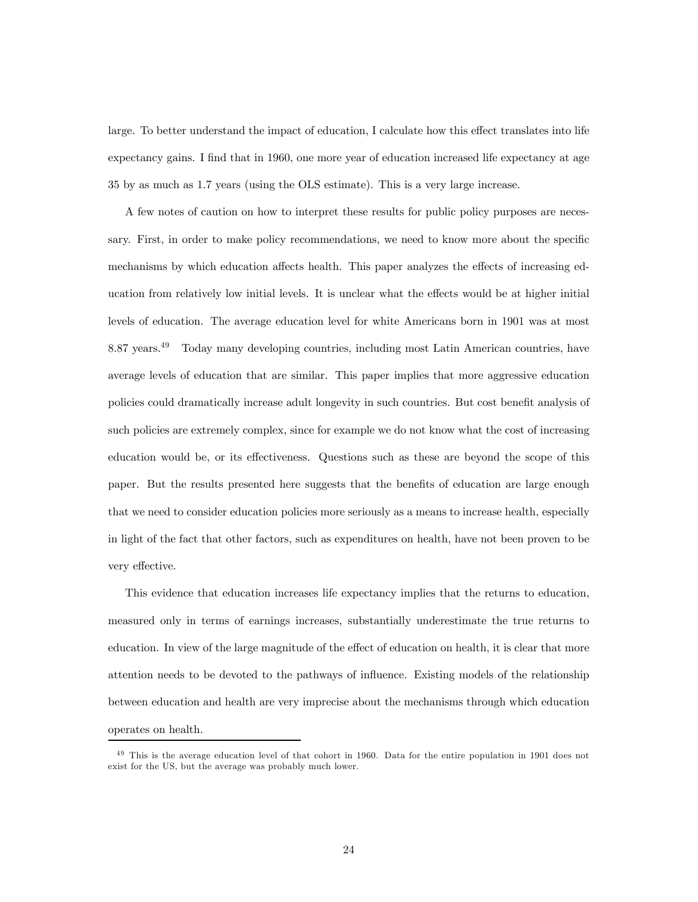large. To better understand the impact of education, I calculate how this effect translates into life expectancy gains. I find that in 1960, one more year of education increased life expectancy at age 35 by as much as 1.7 years (using the OLS estimate). This is a very large increase.

A few notes of caution on how to interpret these results for public policy purposes are necessary. First, in order to make policy recommendations, we need to know more about the specific mechanisms by which education affects health. This paper analyzes the effects of increasing education from relatively low initial levels. It is unclear what the effects would be at higher initial levels of education. The average education level for white Americans born in 1901 was at most 8.87 years.49 Today many developing countries, including most Latin American countries, have average levels of education that are similar. This paper implies that more aggressive education policies could dramatically increase adult longevity in such countries. But cost benefit analysis of such policies are extremely complex, since for example we do not know what the cost of increasing education would be, or its effectiveness. Questions such as these are beyond the scope of this paper. But the results presented here suggests that the benefits of education are large enough that we need to consider education policies more seriously as a means to increase health, especially in light of the fact that other factors, such as expenditures on health, have not been proven to be very effective.

This evidence that education increases life expectancy implies that the returns to education, measured only in terms of earnings increases, substantially underestimate the true returns to education. In view of the large magnitude of the effect of education on health, it is clear that more attention needs to be devoted to the pathways of influence. Existing models of the relationship between education and health are very imprecise about the mechanisms through which education operates on health.

<sup>&</sup>lt;sup>49</sup> This is the average education level of that cohort in 1960. Data for the entire population in 1901 does not exist for the US, but the average was probably much lower.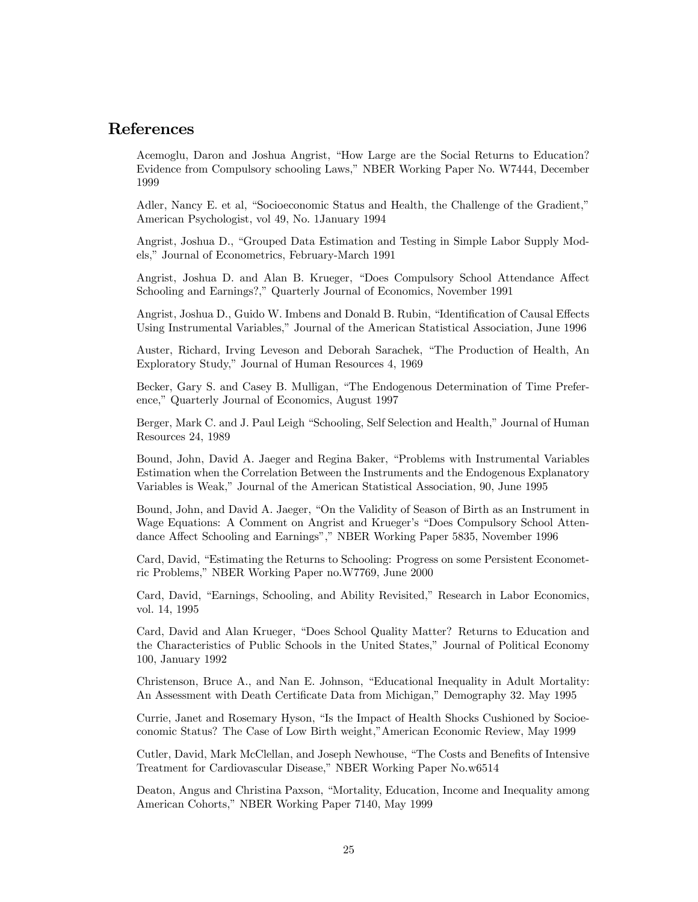# References

Acemoglu, Daron and Joshua Angrist, "How Large are the Social Returns to Education? Evidence from Compulsory schooling Laws," NBER Working Paper No. W7444, December 1999

Adler, Nancy E. et al, "Socioeconomic Status and Health, the Challenge of the Gradient," American Psychologist, vol 49, No. 1January 1994

Angrist, Joshua D., "Grouped Data Estimation and Testing in Simple Labor Supply Models," Journal of Econometrics, February-March 1991

Angrist, Joshua D. and Alan B. Krueger, "Does Compulsory School Attendance Affect Schooling and Earnings?," Quarterly Journal of Economics, November 1991

Angrist, Joshua D., Guido W. Imbens and Donald B. Rubin, "Identification of Causal Effects Using Instrumental Variables," Journal of the American Statistical Association, June 1996

Auster, Richard, Irving Leveson and Deborah Sarachek, "The Production of Health, An Exploratory Study," Journal of Human Resources 4, 1969

Becker, Gary S. and Casey B. Mulligan, "The Endogenous Determination of Time Preference," Quarterly Journal of Economics, August 1997

Berger, Mark C. and J. Paul Leigh "Schooling, Self Selection and Health," Journal of Human Resources 24, 1989

Bound, John, David A. Jaeger and Regina Baker, "Problems with Instrumental Variables Estimation when the Correlation Between the Instruments and the Endogenous Explanatory Variables is Weak," Journal of the American Statistical Association, 90, June 1995

Bound, John, and David A. Jaeger, "On the Validity of Season of Birth as an Instrument in Wage Equations: A Comment on Angrist and Krueger's "Does Compulsory School Attendance Affect Schooling and Earnings"," NBER Working Paper 5835, November 1996

Card, David, "Estimating the Returns to Schooling: Progress on some Persistent Econometric Problems," NBER Working Paper no.W7769, June 2000

Card, David, "Earnings, Schooling, and Ability Revisited," Research in Labor Economics, vol. 14, 1995

Card, David and Alan Krueger, "Does School Quality Matter? Returns to Education and the Characteristics of Public Schools in the United States," Journal of Political Economy 100, January 1992

Christenson, Bruce A., and Nan E. Johnson, "Educational Inequality in Adult Mortality: An Assessment with Death Certificate Data from Michigan," Demography 32. May 1995

Currie, Janet and Rosemary Hyson, "Is the Impact of Health Shocks Cushioned by Socioeconomic Status? The Case of Low Birth weight,"American Economic Review, May 1999

Cutler, David, Mark McClellan, and Joseph Newhouse, "The Costs and Benefits of Intensive Treatment for Cardiovascular Disease," NBER Working Paper No.w6514

Deaton, Angus and Christina Paxson, "Mortality, Education, Income and Inequality among American Cohorts," NBER Working Paper 7140, May 1999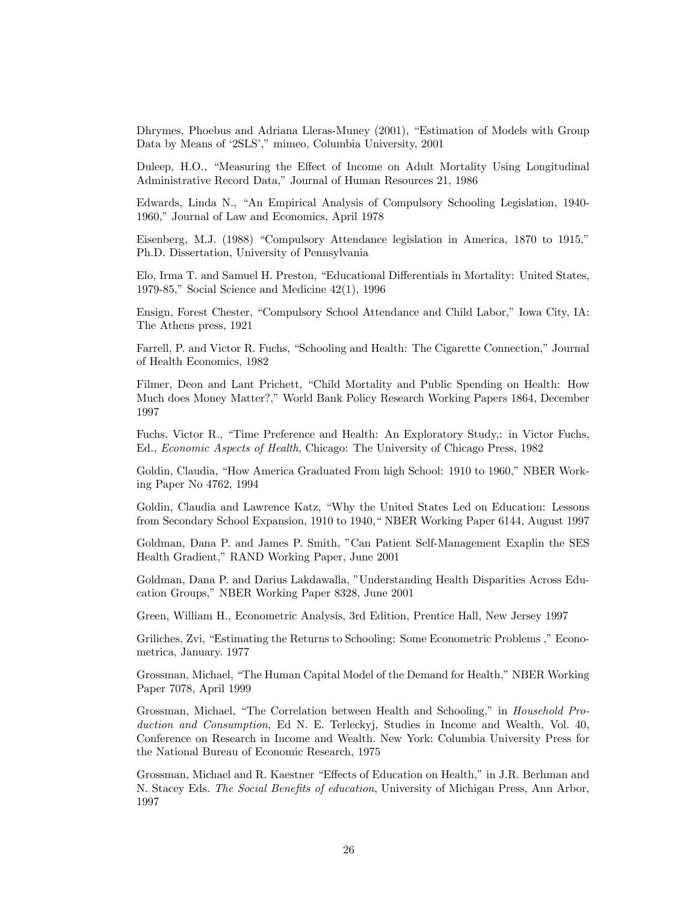Dhrymes, Phoebus and Adriana Lleras-Muney (2001), "Estimation of Models with Group Data by Means of '2SLS'," mimeo, Columbia University, 2001

Duleep, H.O., "Measuring the Effect of Income on Adult Mortality Using Longitudinal Administrative Record Data," Journal of Human Resources 21, 1986

Edwards, Linda N., "An Empirical Analysis of Compulsory Schooling Legislation, 1940- 1960," Journal of Law and Economics, April 1978

Eisenberg, M.J. (1988) "Compulsory Attendance legislation in America, 1870 to 1915," Ph.D. Dissertation, University of Pennsylvania

Elo, Irma T. and Samuel H. Preston, "Educational Differentials in Mortality: United States, 1979-85," Social Science and Medicine 42(1), 1996

Ensign, Forest Chester, "Compulsory School Attendance and Child Labor," Iowa City, IA: The Athens press, 1921

Farrell, P. and Victor R. Fuchs, "Schooling and Health: The Cigarette Connection," Journal of Health Economics, 1982

Filmer, Deon and Lant Prichett, "Child Mortality and Public Spending on Health: How Much does Money Matter?," World Bank Policy Research Working Papers 1864, December 1997

Fuchs, Victor R., "Time Preference and Health: An Exploratory Study,: in Victor Fuchs, Ed., Economic Aspects of Health, Chicago: The University of Chicago Press, 1982

Goldin, Claudia, "How America Graduated From high School: 1910 to 1960," NBER Working Paper No 4762, 1994

Goldin, Claudia and Lawrence Katz, "Why the United States Led on Education: Lessons from Secondary School Expansion, 1910 to 1940," NBER Working Paper 6144, August 1997

Goldman, Dana P. and James P. Smith, "Can Patient Self-Management Exaplin the SES Health Gradient," RAND Working Paper, June 2001

Goldman, Dana P. and Darius Lakdawalla, "Understanding Health Disparities Across Education Groups," NBER Working Paper 8328, June 2001

Green, William H., Econometric Analysis, 3rd Edition, Prentice Hall, New Jersey 1997

Griliches, Zvi, "Estimating the Returns to Schooling: Some Econometric Problems ," Econometrica, January. 1977

Grossman, Michael, "The Human Capital Model of the Demand for Health," NBER Working Paper 7078, April 1999

Grossman, Michael, "The Correlation between Health and Schooling," in Household Production and Consumption, Ed N. E. Terleckyj, Studies in Income and Wealth, Vol. 40, Conference on Research in Income and Wealth. New York: Columbia University Press for the National Bureau of Economic Research, 1975

Grossman, Michael and R. Kaestner "Effects of Education on Health," in J.R. Berhman and N. Stacey Eds. The Social Benefits of education, University of Michigan Press, Ann Arbor, 1997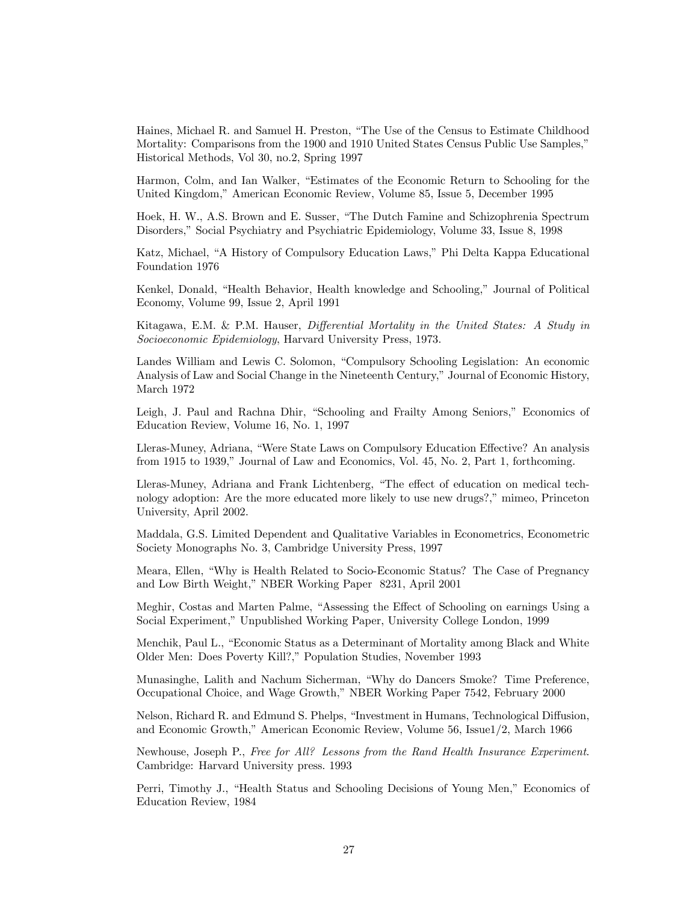Haines, Michael R. and Samuel H. Preston, "The Use of the Census to Estimate Childhood Mortality: Comparisons from the 1900 and 1910 United States Census Public Use Samples," Historical Methods, Vol 30, no.2, Spring 1997

Harmon, Colm, and Ian Walker, "Estimates of the Economic Return to Schooling for the United Kingdom," American Economic Review, Volume 85, Issue 5, December 1995

Hoek, H. W., A.S. Brown and E. Susser, "The Dutch Famine and Schizophrenia Spectrum Disorders," Social Psychiatry and Psychiatric Epidemiology, Volume 33, Issue 8, 1998

Katz, Michael, "A History of Compulsory Education Laws," Phi Delta Kappa Educational Foundation 1976

Kenkel, Donald, "Health Behavior, Health knowledge and Schooling," Journal of Political Economy, Volume 99, Issue 2, April 1991

Kitagawa, E.M. & P.M. Hauser, Differential Mortality in the United States: A Study in Socioeconomic Epidemiology, Harvard University Press, 1973.

Landes William and Lewis C. Solomon, "Compulsory Schooling Legislation: An economic Analysis of Law and Social Change in the Nineteenth Century," Journal of Economic History, March 1972

Leigh, J. Paul and Rachna Dhir, "Schooling and Frailty Among Seniors," Economics of Education Review, Volume 16, No. 1, 1997

Lleras-Muney, Adriana, "Were State Laws on Compulsory Education Effective? An analysis from 1915 to 1939," Journal of Law and Economics, Vol. 45, No. 2, Part 1, forthcoming.

Lleras-Muney, Adriana and Frank Lichtenberg, "The effect of education on medical technology adoption: Are the more educated more likely to use new drugs?," mimeo, Princeton University, April 2002.

Maddala, G.S. Limited Dependent and Qualitative Variables in Econometrics, Econometric Society Monographs No. 3, Cambridge University Press, 1997

Meara, Ellen, "Why is Health Related to Socio-Economic Status? The Case of Pregnancy and Low Birth Weight," NBER Working Paper 8231, April 2001

Meghir, Costas and Marten Palme, "Assessing the Effect of Schooling on earnings Using a Social Experiment," Unpublished Working Paper, University College London, 1999

Menchik, Paul L., "Economic Status as a Determinant of Mortality among Black and White Older Men: Does Poverty Kill?," Population Studies, November 1993

Munasinghe, Lalith and Nachum Sicherman, "Why do Dancers Smoke? Time Preference, Occupational Choice, and Wage Growth," NBER Working Paper 7542, February 2000

Nelson, Richard R. and Edmund S. Phelps, "Investment in Humans, Technological Diffusion, and Economic Growth," American Economic Review, Volume 56, Issue1/2, March 1966

Newhouse, Joseph P., Free for All? Lessons from the Rand Health Insurance Experiment. Cambridge: Harvard University press. 1993

Perri, Timothy J., "Health Status and Schooling Decisions of Young Men," Economics of Education Review, 1984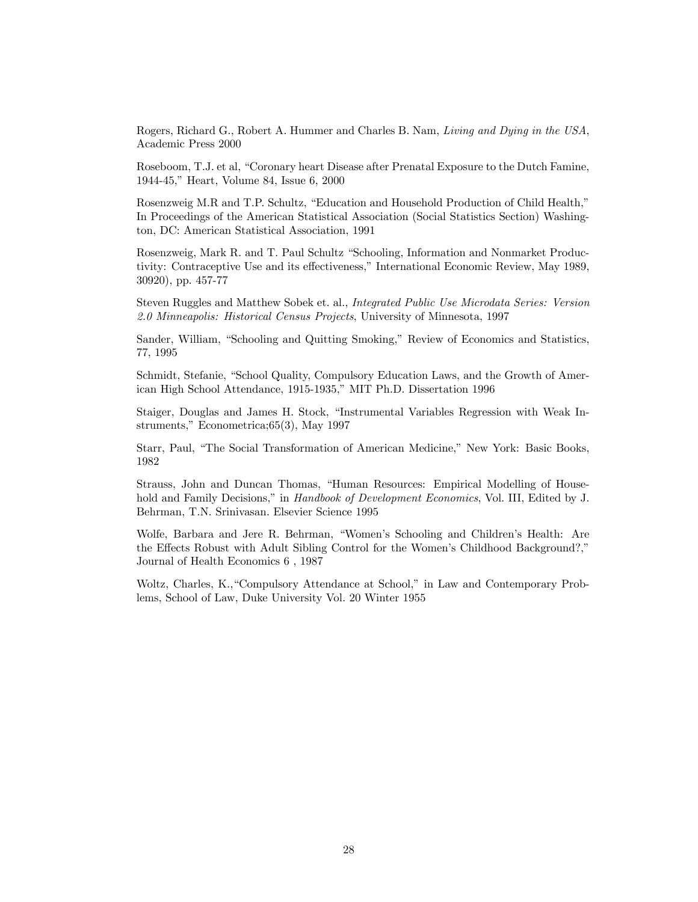Rogers, Richard G., Robert A. Hummer and Charles B. Nam, Living and Dying in the USA, Academic Press 2000

Roseboom, T.J. et al, "Coronary heart Disease after Prenatal Exposure to the Dutch Famine, 1944-45," Heart, Volume 84, Issue 6, 2000

Rosenzweig M.R and T.P. Schultz, "Education and Household Production of Child Health," In Proceedings of the American Statistical Association (Social Statistics Section) Washington, DC: American Statistical Association, 1991

Rosenzweig, Mark R. and T. Paul Schultz "Schooling, Information and Nonmarket Productivity: Contraceptive Use and its effectiveness," International Economic Review, May 1989, 30920), pp. 457-77

Steven Ruggles and Matthew Sobek et. al., Integrated Public Use Microdata Series: Version 2.0 Minneapolis: Historical Census Projects, University of Minnesota, 1997

Sander, William, "Schooling and Quitting Smoking," Review of Economics and Statistics, 77, 1995

Schmidt, Stefanie, "School Quality, Compulsory Education Laws, and the Growth of American High School Attendance, 1915-1935," MIT Ph.D. Dissertation 1996

Staiger, Douglas and James H. Stock, "Instrumental Variables Regression with Weak Instruments," Econometrica;65(3), May 1997

Starr, Paul, "The Social Transformation of American Medicine," New York: Basic Books, 1982

Strauss, John and Duncan Thomas, "Human Resources: Empirical Modelling of Household and Family Decisions," in Handbook of Development Economics, Vol. III, Edited by J. Behrman, T.N. Srinivasan. Elsevier Science 1995

Wolfe, Barbara and Jere R. Behrman, "Women's Schooling and Children's Health: Are the Effects Robust with Adult Sibling Control for the Women's Childhood Background?," Journal of Health Economics 6 , 1987

Woltz, Charles, K.,"Compulsory Attendance at School," in Law and Contemporary Problems, School of Law, Duke University Vol. 20 Winter 1955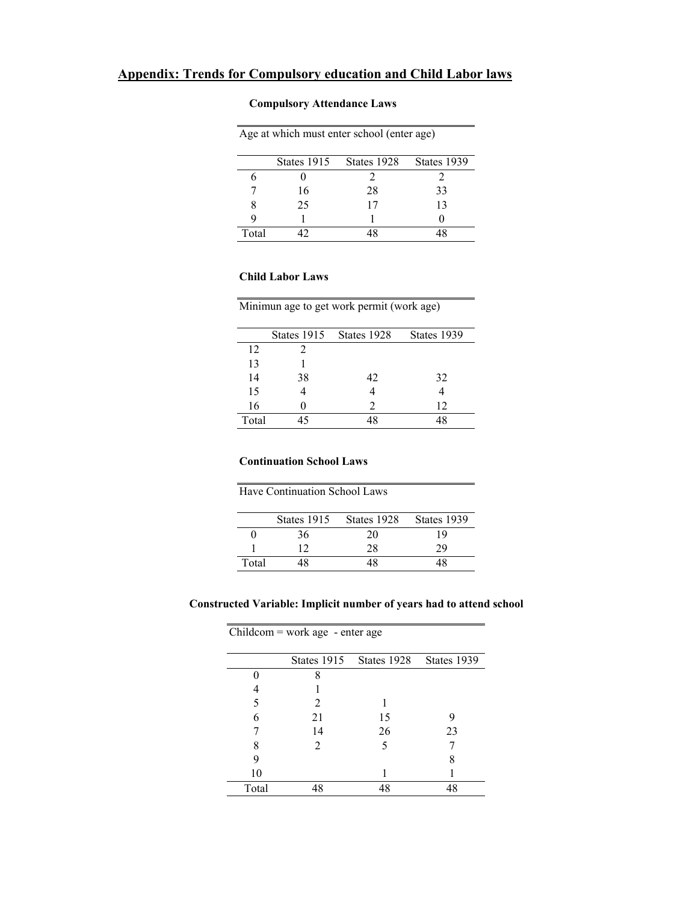# **Compulsory Attendance Laws**

| Age at which must enter school (enter age) |             |             |             |  |  |
|--------------------------------------------|-------------|-------------|-------------|--|--|
|                                            | States 1915 | States 1928 | States 1939 |  |  |
|                                            |             |             |             |  |  |
|                                            | 16          | 28          | 33          |  |  |
|                                            | 25          | 17          | 13          |  |  |
|                                            |             |             |             |  |  |
| Total                                      |             |             |             |  |  |

# **Child Labor Laws**

| Minimun age to get work permit (work age) |
|-------------------------------------------|
|                                           |

|       |    | States 1915 States 1928     | States 1939 |
|-------|----|-----------------------------|-------------|
| 12    |    |                             |             |
| 13    |    |                             |             |
| 14    | 38 | 42                          | 32          |
| 15    |    |                             |             |
| 16    |    | $\mathcal{D}_{\mathcal{L}}$ | 12          |
| Total | 15 |                             |             |

## **Continuation School Laws**

| <b>Have Continuation School Laws</b> |  |
|--------------------------------------|--|
|                                      |  |

|       | States 1915 | States 1928 | States 1939 |
|-------|-------------|-------------|-------------|
|       | 36          | 20          | 1 Q         |
|       |             | 28          |             |
| Total |             | 18          |             |

## **Constructed Variable: Implicit number of years had to attend school**

|       | $Children = work age - enter age$ |             |             |  |  |  |  |
|-------|-----------------------------------|-------------|-------------|--|--|--|--|
|       | States 1915                       | States 1928 | States 1939 |  |  |  |  |
|       | 8                                 |             |             |  |  |  |  |
|       |                                   |             |             |  |  |  |  |
|       | 2                                 |             |             |  |  |  |  |
| 6     | 21                                | 15          |             |  |  |  |  |
|       | 14                                | 26          | 23          |  |  |  |  |
|       | 2                                 | 5           |             |  |  |  |  |
| 9     |                                   |             |             |  |  |  |  |
| 10    |                                   |             |             |  |  |  |  |
| Total | 48                                | 48          | 48          |  |  |  |  |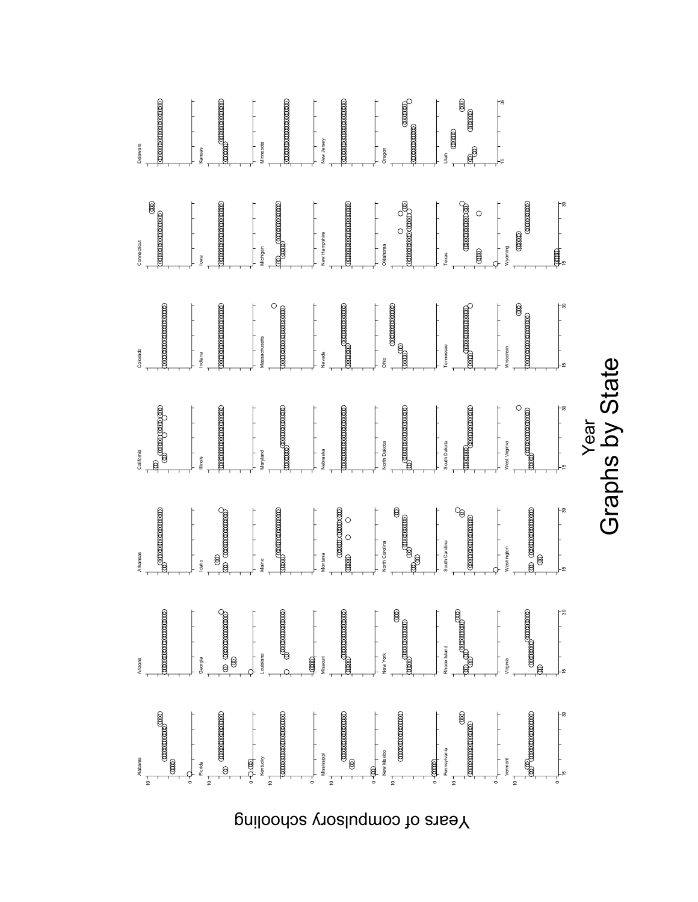

Years of compulsory schooling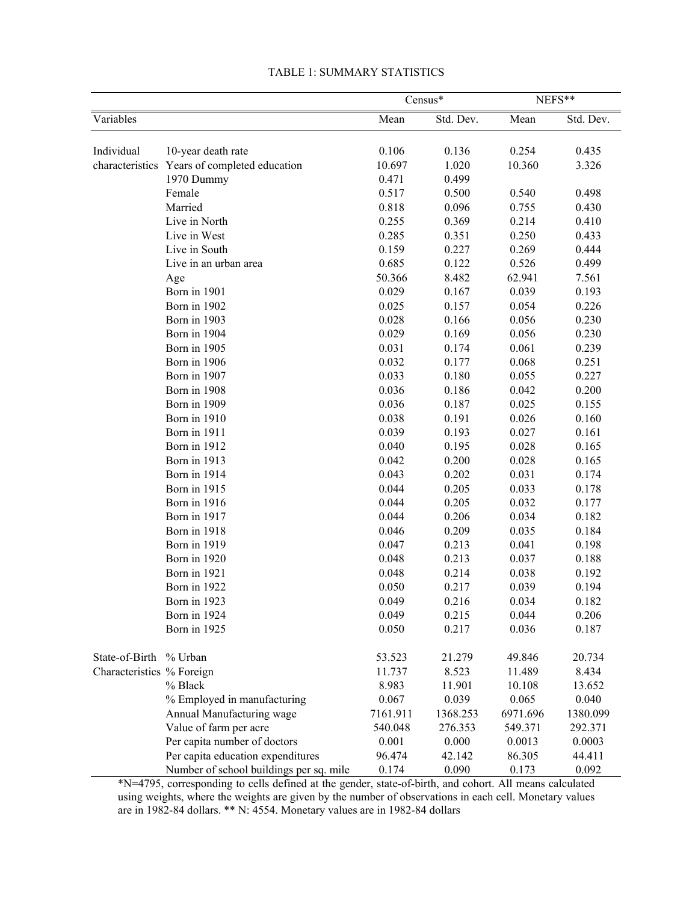|                           | Census*                                      |          | $NEFS**$  |          |           |
|---------------------------|----------------------------------------------|----------|-----------|----------|-----------|
| Variables                 |                                              | Mean     | Std. Dev. | Mean     | Std. Dev. |
|                           |                                              |          |           |          |           |
| Individual                | 10-year death rate                           | 0.106    | 0.136     | 0.254    | 0.435     |
|                           | characteristics Years of completed education | 10.697   | 1.020     | 10.360   | 3.326     |
|                           | 1970 Dummy                                   | 0.471    | 0.499     |          |           |
|                           | Female                                       | 0.517    | 0.500     | 0.540    | 0.498     |
|                           | Married                                      | 0.818    | 0.096     | 0.755    | 0.430     |
|                           | Live in North                                | 0.255    | 0.369     | 0.214    | 0.410     |
|                           | Live in West                                 | 0.285    | 0.351     | 0.250    | 0.433     |
|                           | Live in South                                | 0.159    | 0.227     | 0.269    | 0.444     |
|                           | Live in an urban area                        | 0.685    | 0.122     | 0.526    | 0.499     |
|                           | Age                                          | 50.366   | 8.482     | 62.941   | 7.561     |
|                           | Born in 1901                                 | 0.029    | 0.167     | 0.039    | 0.193     |
|                           | Born in 1902                                 | 0.025    | 0.157     | 0.054    | 0.226     |
|                           | Born in 1903                                 | 0.028    | 0.166     | 0.056    | 0.230     |
|                           | Born in 1904                                 | 0.029    | 0.169     | 0.056    | 0.230     |
|                           | Born in 1905                                 | 0.031    | 0.174     | 0.061    | 0.239     |
|                           | Born in 1906                                 | 0.032    | 0.177     | 0.068    | 0.251     |
|                           | Born in 1907                                 | 0.033    | 0.180     | 0.055    | 0.227     |
|                           | Born in 1908                                 | 0.036    | 0.186     | 0.042    | 0.200     |
|                           | Born in 1909                                 | 0.036    | 0.187     | 0.025    | 0.155     |
|                           | Born in 1910                                 | 0.038    | 0.191     | 0.026    | 0.160     |
|                           | Born in 1911                                 | 0.039    | 0.193     | 0.027    | 0.161     |
|                           | Born in 1912                                 | 0.040    | 0.195     | 0.028    | 0.165     |
|                           | Born in 1913                                 | 0.042    | 0.200     | 0.028    | 0.165     |
|                           | Born in 1914                                 | 0.043    | 0.202     | 0.031    | 0.174     |
|                           | Born in 1915                                 | 0.044    | 0.205     | 0.033    | 0.178     |
|                           | Born in 1916                                 | 0.044    | 0.205     | 0.032    | 0.177     |
|                           | Born in 1917                                 | 0.044    | 0.206     | 0.034    | 0.182     |
|                           | Born in 1918                                 | 0.046    | 0.209     | 0.035    | 0.184     |
|                           | Born in 1919                                 | 0.047    | 0.213     | 0.041    | 0.198     |
|                           | Born in 1920                                 | 0.048    | 0.213     | 0.037    | 0.188     |
|                           | Born in 1921                                 | 0.048    | 0.214     | 0.038    | 0.192     |
|                           | Born in 1922                                 | 0.050    | 0.217     | 0.039    | 0.194     |
|                           | Born in 1923                                 | 0.049    | 0.216     | 0.034    | 0.182     |
|                           | Born in 1924                                 | 0.049    | 0.215     | 0.044    | 0.206     |
|                           | Born in 1925                                 | 0.050    | 0.217     | 0.036    | 0.187     |
| State-of-Birth % Urban    |                                              | 53.523   | 21.279    | 49.846   | 20.734    |
| Characteristics % Foreign |                                              | 11.737   | 8.523     | 11.489   | 8.434     |
|                           | % Black                                      | 8.983    | 11.901    | 10.108   | 13.652    |
|                           | % Employed in manufacturing                  | 0.067    | 0.039     | 0.065    | 0.040     |
|                           | Annual Manufacturing wage                    | 7161.911 | 1368.253  | 6971.696 | 1380.099  |
|                           | Value of farm per acre                       | 540.048  | 276.353   | 549.371  | 292.371   |
|                           | Per capita number of doctors                 | 0.001    | 0.000     | 0.0013   | 0.0003    |
|                           | Per capita education expenditures            | 96.474   | 42.142    | 86.305   | 44.411    |
|                           | Number of school buildings per sq. mile      | 0.174    | 0.090     | 0.173    | 0.092     |

### TABLE 1: SUMMARY STATISTICS

\*N=4795, corresponding to cells defined at the gender, state-of-birth, and cohort. All means calculated using weights, where the weights are given by the number of observations in each cell. Monetary values are in 1982-84 dollars. \*\* N: 4554. Monetary values are in 1982-84 dollars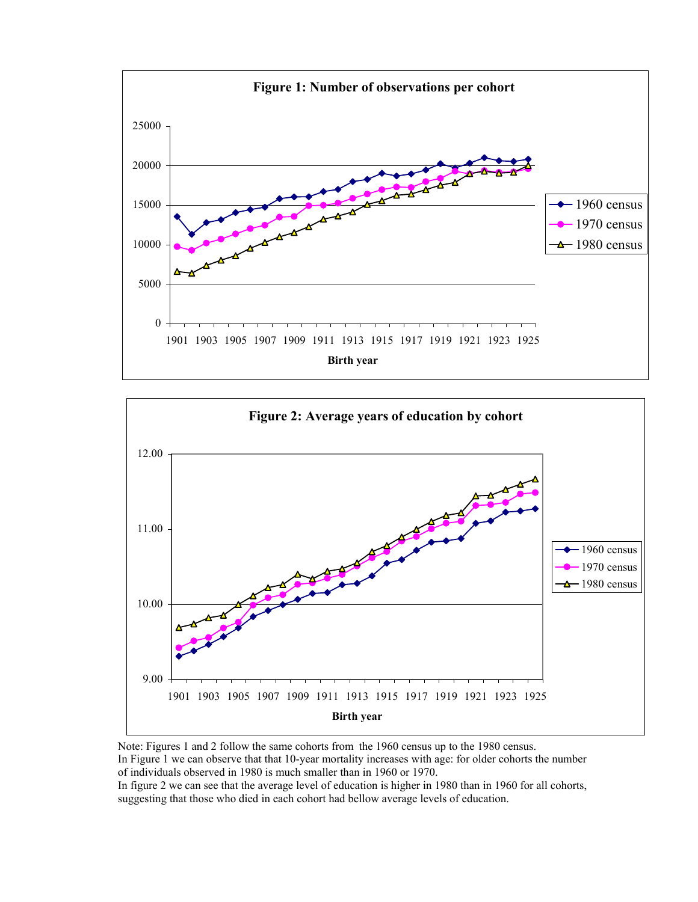



Note: Figures 1 and 2 follow the same cohorts from the 1960 census up to the 1980 census. In Figure 1 we can observe that that 10-year mortality increases with age: for older cohorts the number of individuals observed in 1980 is much smaller than in 1960 or 1970. In figure 2 we can see that the average level of education is higher in 1980 than in 1960 for all cohorts, suggesting that those who died in each cohort had bellow average levels of education.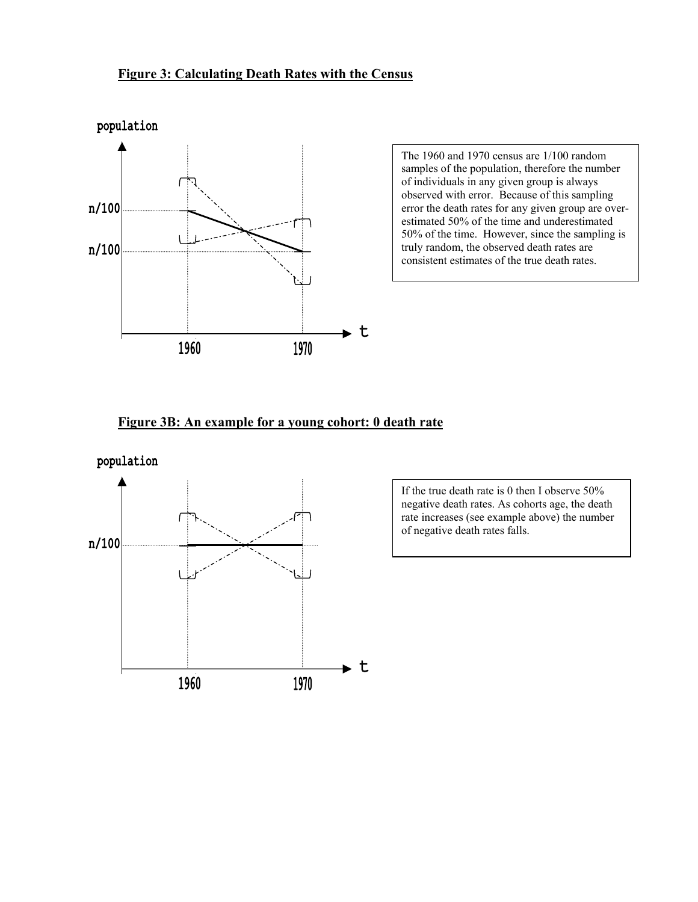# **Figure 3: Calculating Death Rates with the Census**



The 1960 and 1970 census are 1/100 random samples of the population, therefore the number of individuals in any given group is always observed with error. Because of this sampling error the death rates for any given group are overestimated 50% of the time and underestimated 50% of the time. However, since the sampling is truly random, the observed death rates are consistent estimates of the true death rates.

# **Figure 3B: An example for a young cohort: 0 death rate**



If the true death rate is 0 then I observe 50% negative death rates. As cohorts age, the death rate increases (see example above) the number of negative death rates falls.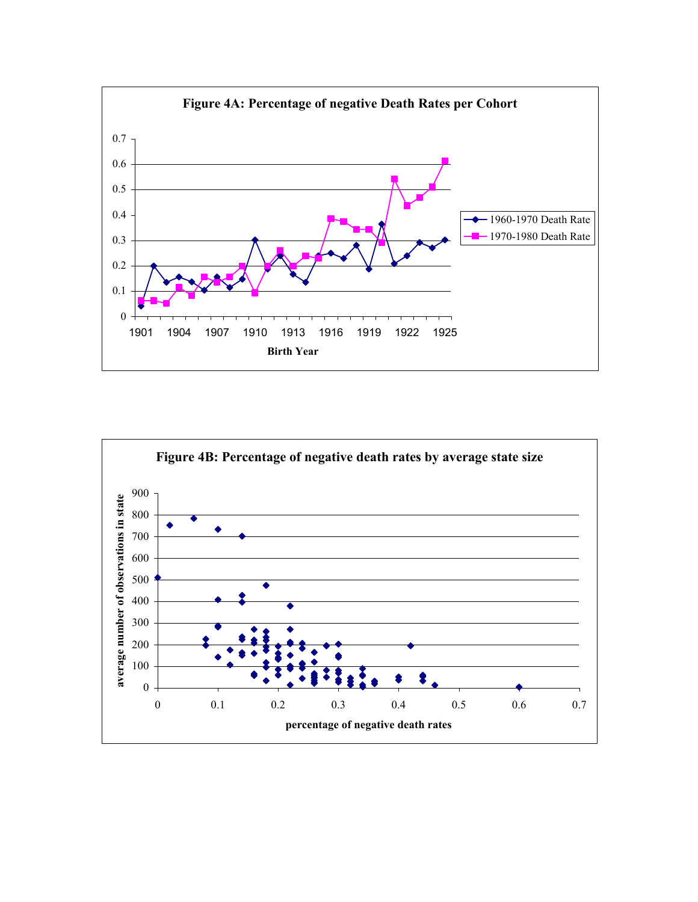

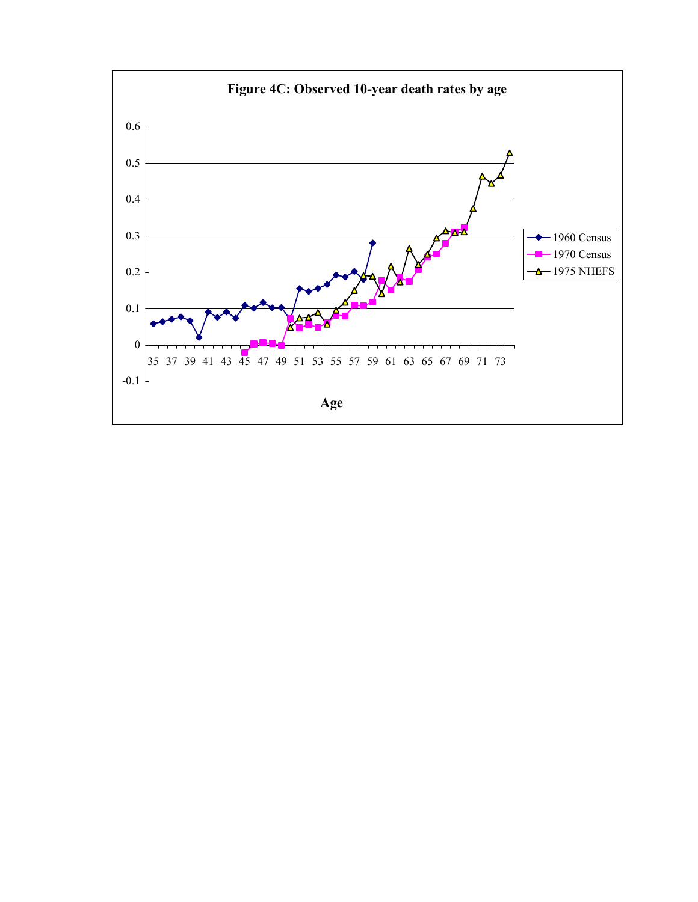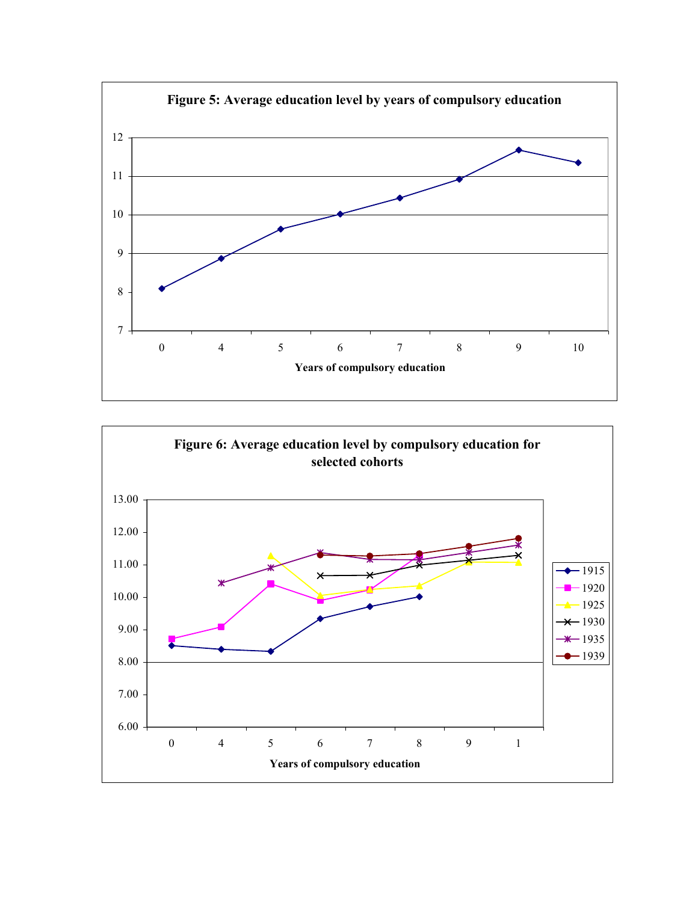

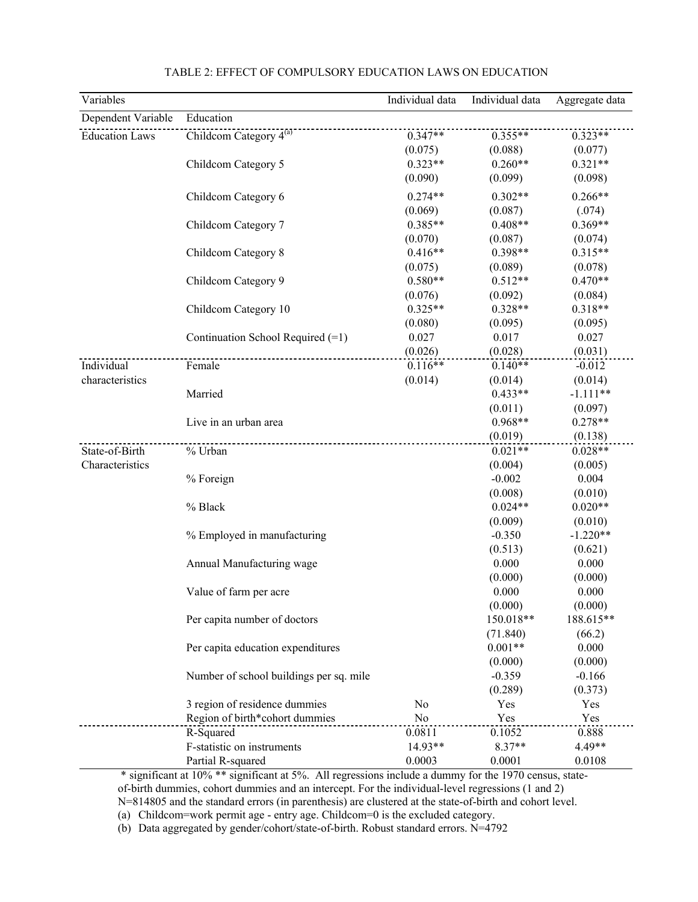| Variables             |                                         | Individual data | Individual data  | Aggregate data   |
|-----------------------|-----------------------------------------|-----------------|------------------|------------------|
| Dependent Variable    | Education                               |                 |                  |                  |
| <b>Education Laws</b> | Childcom Category 4 <sup>(a)</sup>      | $0.347**$       | $0.355**$        | $0.323**$        |
|                       |                                         | (0.075)         | (0.088)          | (0.077)          |
|                       | Childcom Category 5                     | $0.323**$       | $0.260**$        | $0.321**$        |
|                       |                                         | (0.090)         | (0.099)          | (0.098)          |
|                       | Childcom Category 6                     | $0.274**$       | $0.302**$        | $0.266**$        |
|                       |                                         | (0.069)         | (0.087)          | (.074)           |
|                       | Childcom Category 7                     | $0.385**$       | $0.408**$        | $0.369**$        |
|                       |                                         | (0.070)         | (0.087)          | (0.074)          |
|                       | Childcom Category 8                     | $0.416**$       | $0.398**$        | $0.315**$        |
|                       |                                         | (0.075)         | (0.089)          | (0.078)          |
|                       | Childcom Category 9                     | $0.580**$       | $0.512**$        | $0.470**$        |
|                       |                                         | (0.076)         | (0.092)          | (0.084)          |
|                       | Childcom Category 10                    | $0.325**$       | $0.328**$        | $0.318**$        |
|                       |                                         |                 |                  |                  |
|                       |                                         | (0.080)         | (0.095)<br>0.017 | (0.095)<br>0.027 |
|                       | Continuation School Required (=1)       | 0.027           |                  |                  |
|                       |                                         | (0.026)         | (0.028)          | (0.031)          |
| Individual            | Female                                  | $0.116**$       | $0.140**$        | $-0.012$         |
| characteristics       |                                         | (0.014)         | (0.014)          | (0.014)          |
|                       | Married                                 |                 | $0.433**$        | $-1.111**$       |
|                       |                                         |                 | (0.011)          | (0.097)          |
|                       | Live in an urban area                   |                 | $0.968**$        | $0.278**$        |
|                       |                                         |                 | (0.019)          | (0.138)          |
| State-of-Birth        | % Urban                                 |                 | $0.021**$        | $0.028**$        |
| Characteristics       |                                         |                 | (0.004)          | (0.005)          |
|                       | % Foreign                               |                 | $-0.002$         | 0.004            |
|                       |                                         |                 | (0.008)          | (0.010)          |
|                       | % Black                                 |                 | $0.024**$        | $0.020**$        |
|                       |                                         |                 | (0.009)          | (0.010)          |
|                       | % Employed in manufacturing             |                 | $-0.350$         | $-1.220**$       |
|                       |                                         |                 | (0.513)          | (0.621)          |
|                       | Annual Manufacturing wage               |                 | 0.000            | 0.000            |
|                       |                                         |                 | (0.000)          | (0.000)          |
|                       | Value of farm per acre                  |                 | 0.000            | 0.000            |
|                       |                                         |                 | (0.000)          | (0.000)          |
|                       | Per capita number of doctors            |                 | 150.018**        | 188.615**        |
|                       |                                         |                 | (71.840)         | (66.2)           |
|                       | Per capita education expenditures       |                 | $0.001**$        | 0.000            |
|                       |                                         |                 | (0.000)          | (0.000)          |
|                       | Number of school buildings per sq. mile |                 | $-0.359$         | $-0.166$         |
|                       |                                         |                 | (0.289)          | (0.373)          |
|                       | 3 region of residence dummies           | No              | Yes              | Yes              |
|                       | Region of birth*cohort dummies          | N <sub>o</sub>  | Yes              | Yes              |
|                       | R-Squared                               | 0.0811          | 0.1052           | 0.888            |
|                       | F-statistic on instruments              | 14.93**         | 8.37**           | 4.49**           |
|                       | Partial R-squared                       | 0.0003          |                  | 0.0108           |
|                       |                                         |                 | 0.0001           |                  |

### TABLE 2: EFFECT OF COMPULSORY EDUCATION LAWS ON EDUCATION

 \* significant at 10% \*\* significant at 5%. All regressions include a dummy for the 1970 census, stateof-birth dummies, cohort dummies and an intercept. For the individual-level regressions (1 and 2) N=814805 and the standard errors (in parenthesis) are clustered at the state-of-birth and cohort level.

(a) Childcom=work permit age - entry age. Childcom=0 is the excluded category.

(b) Data aggregated by gender/cohort/state-of-birth. Robust standard errors. N=4792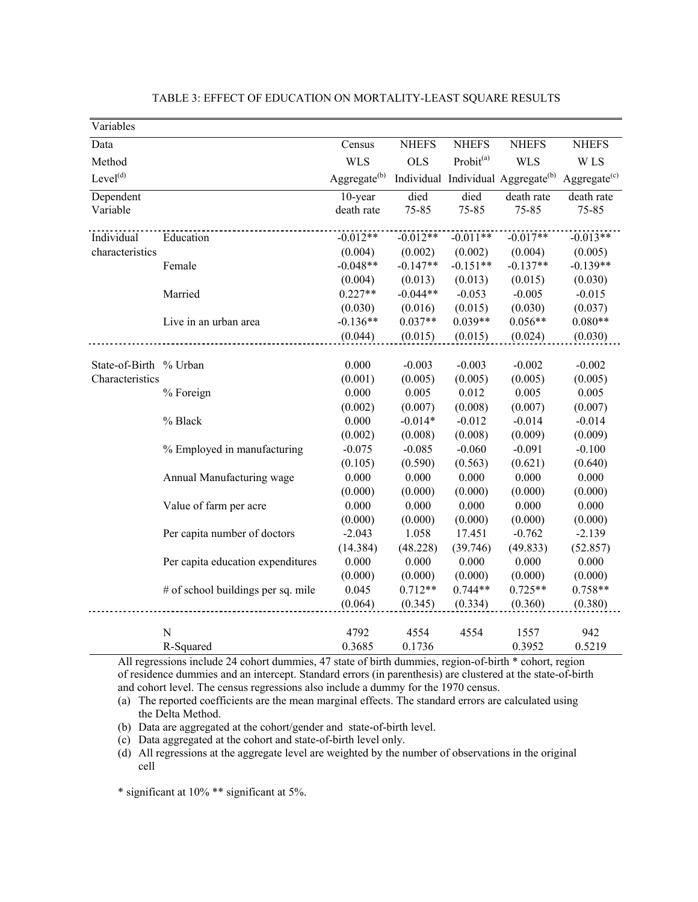| Variables              |                                    |                    |              |                       |                                                |                 |
|------------------------|------------------------------------|--------------------|--------------|-----------------------|------------------------------------------------|-----------------|
| Data                   |                                    | Census             | <b>NHEFS</b> | <b>NHEFS</b>          | <b>NHEFS</b>                                   | <b>NHEFS</b>    |
| Method                 |                                    | <b>WLS</b>         | <b>OLS</b>   | Probit <sup>(a)</sup> | <b>WLS</b>                                     | W LS            |
| Level <sup>(d)</sup>   |                                    | Aggregate $^{(b)}$ |              |                       | Individual Individual Aggregate <sup>(b)</sup> | Aggregate $(c)$ |
| Dependent              |                                    | 10-year            | died         | died                  | death rate                                     | death rate      |
| Variable               |                                    | death rate         | 75-85        | 75-85                 | 75-85                                          | 75-85           |
| Individual             | Education                          | $-0.012**$         | $-0.012**$   | $-0.011**$            | $-0.017**$                                     | $-0.013**$      |
| characteristics        |                                    | (0.004)            | (0.002)      | (0.002)               | (0.004)                                        | (0.005)         |
|                        | Female                             | $-0.048**$         | $-0.147**$   | $-0.151**$            | $-0.137**$                                     | $-0.139**$      |
|                        |                                    | (0.004)            | (0.013)      | (0.013)               | (0.015)                                        | (0.030)         |
|                        | Married                            | $0.227**$          | $-0.044**$   | $-0.053$              | $-0.005$                                       | $-0.015$        |
|                        |                                    | (0.030)            | (0.016)      | (0.015)               | (0.030)                                        | (0.037)         |
|                        | Live in an urban area              | $-0.136**$         | $0.037**$    | $0.039**$             | $0.056**$                                      | $0.080**$       |
|                        |                                    | (0.044)            | (0.015)      | (0.015)               | (0.024)                                        | (0.030)         |
|                        |                                    |                    |              |                       |                                                |                 |
| State-of-Birth % Urban |                                    | 0.000              | $-0.003$     | $-0.003$              | $-0.002$                                       | $-0.002$        |
| Characteristics        |                                    | (0.001)            | (0.005)      | (0.005)               | (0.005)                                        | (0.005)         |
|                        | % Foreign                          | 0.000              | 0.005        | 0.012                 | 0.005                                          | 0.005           |
|                        |                                    | (0.002)            | (0.007)      | (0.008)               | (0.007)                                        | (0.007)         |
|                        | % Black                            | 0.000              | $-0.014*$    | $-0.012$              | $-0.014$                                       | $-0.014$        |
|                        |                                    | (0.002)            | (0.008)      | (0.008)               | (0.009)                                        | (0.009)         |
|                        | % Employed in manufacturing        | $-0.075$           | $-0.085$     | $-0.060$              | $-0.091$                                       | $-0.100$        |
|                        |                                    | (0.105)            | (0.590)      | (0.563)               | (0.621)                                        | (0.640)         |
|                        | Annual Manufacturing wage          | 0.000              | 0.000        | 0.000                 | 0.000                                          | 0.000           |
|                        |                                    | (0.000)            | (0.000)      | (0.000)               | (0.000)                                        | (0.000)         |
|                        | Value of farm per acre             | 0.000              | 0.000        | 0.000                 | 0.000                                          | 0.000           |
|                        |                                    | (0.000)            | (0.000)      | (0.000)               | (0.000)                                        | (0.000)         |
|                        | Per capita number of doctors       | $-2.043$           | 1.058        | 17.451                | $-0.762$                                       | $-2.139$        |
|                        |                                    | (14.384)           | (48.228)     | (39.746)              | (49.833)                                       | (52.857)        |
|                        | Per capita education expenditures  | 0.000              | 0.000        | 0.000                 | 0.000                                          | 0.000           |
|                        |                                    | (0.000)            | (0.000)      | (0.000)               | (0.000)                                        | (0.000)         |
|                        | # of school buildings per sq. mile | 0.045              | $0.712**$    | $0.744**$             | $0.725**$                                      | $0.758**$       |
|                        |                                    | (0.064)            | (0.345)      | (0.334)               | (0.360)                                        | (0.380)         |
|                        |                                    |                    |              |                       |                                                |                 |
|                        | $\overline{N}$                     | 4792               | 4554         | 4554                  | 1557                                           | 942             |
|                        | R-Squared                          | 0.3685             | 0.1736       |                       | 0.3952                                         | 0.5219          |

## TABLE 3: EFFECT OF EDUCATION ON MORTALITY-LEAST SQUARE RESULTS

All regressions include 24 cohort dummies, 47 state of birth dummies, region-of-birth \* cohort, region of residence dummies and an intercept. Standard errors (in parenthesis) are clustered at the state-of-birth and cohort level. The census regressions also include a dummy for the 1970 census.

(a) The reported coefficients are the mean marginal effects. The standard errors are calculated using the Delta Method.

- (b) Data are aggregated at the cohort/gender and state-of-birth level.
- (c) Data aggregated at the cohort and state-of-birth level only.

(d) All regressions at the aggregate level are weighted by the number of observations in the original cell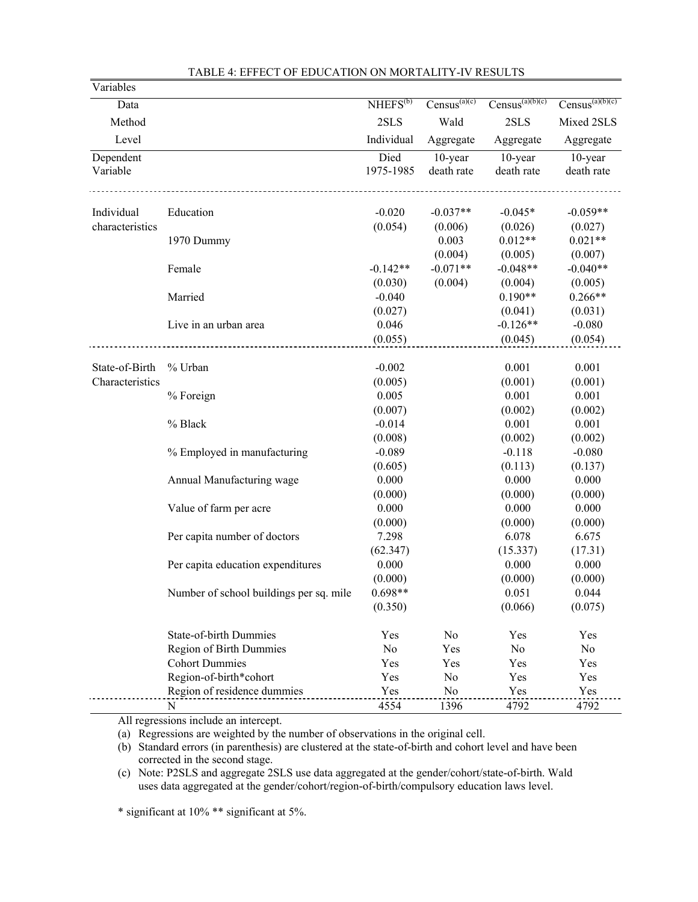| Variables       |                                         |                |                   |                      |                      |
|-----------------|-----------------------------------------|----------------|-------------------|----------------------|----------------------|
| Data            |                                         | $NHEFS^{(b)}$  | $Census^{(a)(c)}$ | $Census^{(a)(b)(c)}$ | $Census^{(a)(b)(c)}$ |
| Method          |                                         | 2SLS           | Wald              | 2SLS                 | Mixed 2SLS           |
| Level           |                                         | Individual     | Aggregate         | Aggregate            | Aggregate            |
| Dependent       |                                         | Died           | 10-year           | 10-year              | 10-year              |
| Variable        |                                         | 1975-1985      | death rate        | death rate           | death rate           |
| Individual      | Education                               | $-0.020$       | $-0.037**$        | $-0.045*$            | $-0.059**$           |
| characteristics |                                         | (0.054)        | (0.006)           | (0.026)              | (0.027)              |
|                 | 1970 Dummy                              |                | 0.003             | $0.012**$            | $0.021**$            |
|                 |                                         |                | (0.004)           | (0.005)              | (0.007)              |
|                 | Female                                  | $-0.142**$     | $-0.071**$        | $-0.048**$           | $-0.040**$           |
|                 |                                         | (0.030)        | (0.004)           | (0.004)              | (0.005)              |
|                 | Married                                 | $-0.040$       |                   | $0.190**$            | $0.266**$            |
|                 |                                         | (0.027)        |                   | (0.041)              | (0.031)              |
|                 | Live in an urban area                   | 0.046          |                   | $-0.126**$           | $-0.080$             |
|                 |                                         | (0.055)        |                   | (0.045)              | (0.054)              |
|                 |                                         |                |                   |                      |                      |
| State-of-Birth  | % Urban                                 | $-0.002$       |                   | 0.001                | 0.001                |
| Characteristics |                                         | (0.005)        |                   | (0.001)              | (0.001)              |
|                 | % Foreign                               | 0.005          |                   | 0.001                | 0.001                |
|                 |                                         | (0.007)        |                   | (0.002)              | (0.002)              |
|                 | % Black                                 | $-0.014$       |                   | 0.001                | 0.001                |
|                 |                                         | (0.008)        |                   | (0.002)              | (0.002)              |
|                 | % Employed in manufacturing             | $-0.089$       |                   | $-0.118$             | $-0.080$             |
|                 |                                         | (0.605)        |                   | (0.113)              | (0.137)              |
|                 | Annual Manufacturing wage               | 0.000          |                   | 0.000                | 0.000                |
|                 |                                         | (0.000)        |                   | (0.000)              | (0.000)              |
|                 | Value of farm per acre                  | 0.000          |                   | 0.000                | 0.000                |
|                 |                                         | (0.000)        |                   | (0.000)              | (0.000)              |
|                 | Per capita number of doctors            | 7.298          |                   | 6.078                | 6.675                |
|                 |                                         | (62.347)       |                   | (15.337)             | (17.31)              |
|                 | Per capita education expenditures       | 0.000          |                   | 0.000                | 0.000                |
|                 |                                         | (0.000)        |                   | (0.000)              | (0.000)              |
|                 | Number of school buildings per sq. mile | $0.698**$      |                   | 0.051                | 0.044                |
|                 |                                         | (0.350)        |                   | (0.066)              | (0.075)              |
|                 | <b>State-of-birth Dummies</b>           | Yes            | No                | Yes                  | Yes                  |
|                 | Region of Birth Dummies                 | N <sub>0</sub> | Yes               | N <sub>0</sub>       | N <sub>o</sub>       |
|                 | <b>Cohort Dummies</b>                   | Yes            | Yes               | Yes                  | Yes                  |
|                 | Region-of-birth*cohort                  | Yes            | No                | Yes                  | Yes                  |
|                 | Region of residence dummies             | Yes            | No                | Yes                  | Yes                  |
|                 | ${\bf N}$                               | 4554           | 1396              | 4792                 | 4792                 |

### TABLE 4: EFFECT OF EDUCATION ON MORTALITY-IV RESULTS

All regressions include an intercept.

(a) Regressions are weighted by the number of observations in the original cell.

(b) Standard errors (in parenthesis) are clustered at the state-of-birth and cohort level and have been corrected in the second stage.

(c) Note: P2SLS and aggregate 2SLS use data aggregated at the gender/cohort/state-of-birth. Wald uses data aggregated at the gender/cohort/region-of-birth/compulsory education laws level.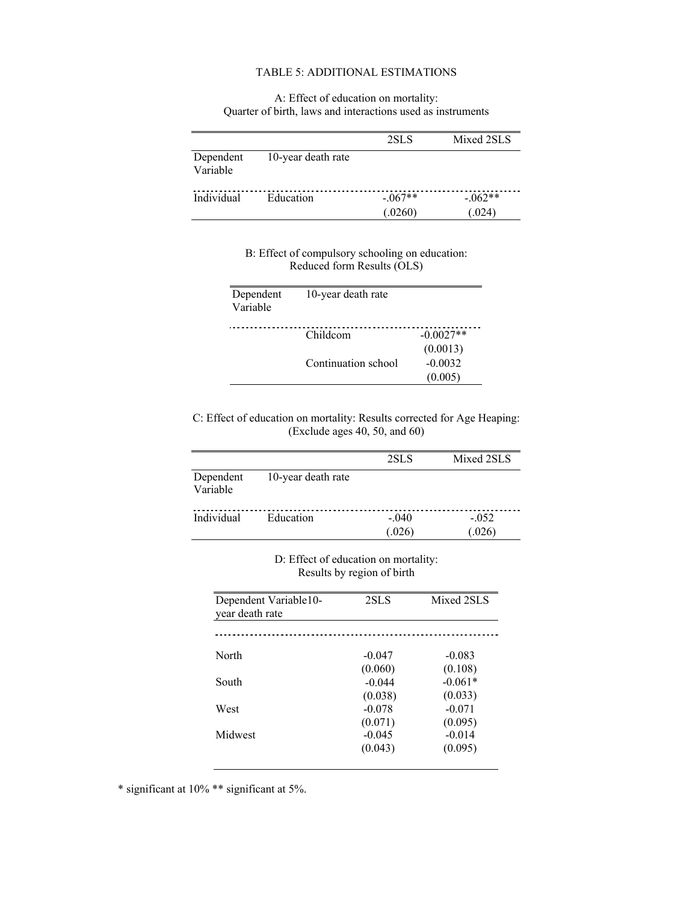## TABLE 5: ADDITIONAL ESTIMATIONS

### A: Effect of education on mortality: Quarter of birth, laws and interactions used as instruments

|                       |                    | 2SLS                | Mixed 2SLS         |
|-----------------------|--------------------|---------------------|--------------------|
| Dependent<br>Variable | 10-year death rate |                     |                    |
| Individual            | Education          | $-067**$<br>(.0260) | $-062**$<br>(.024) |

## B: Effect of compulsory schooling on education: Reduced form Results (OLS)

| Dependent | 10-year death rate  |             |
|-----------|---------------------|-------------|
| Variable  |                     |             |
|           |                     |             |
|           | Childcom            | $-0.0027**$ |
|           |                     | (0.0013)    |
|           | Continuation school | $-0.0032$   |
|           |                     | (0.005)     |

## C: Effect of education on mortality: Results corrected for Age Heaping: (Exclude ages 40, 50, and 60)

|                       |                    | 2SLS              | Mixed 2SLS        |
|-----------------------|--------------------|-------------------|-------------------|
| Dependent<br>Variable | 10-year death rate |                   |                   |
| Individual            | Education          | $-.040$<br>(.026) | $-.052$<br>(.026) |

D: Effect of education on mortality: Results by region of birth

| Dependent Variable10-<br>year death rate | 2SLS     | Mixed 2SLS |  |  |
|------------------------------------------|----------|------------|--|--|
|                                          |          |            |  |  |
| North                                    | $-0.047$ | $-0.083$   |  |  |
|                                          | (0.060)  | (0.108)    |  |  |
| South                                    | $-0.044$ | $-0.061*$  |  |  |
|                                          | (0.038)  | (0.033)    |  |  |
| West                                     | $-0.078$ | $-0.071$   |  |  |
|                                          | (0.071)  | (0.095)    |  |  |
| Midwest                                  | $-0.045$ | $-0.014$   |  |  |
|                                          | (0.043)  | (0.095)    |  |  |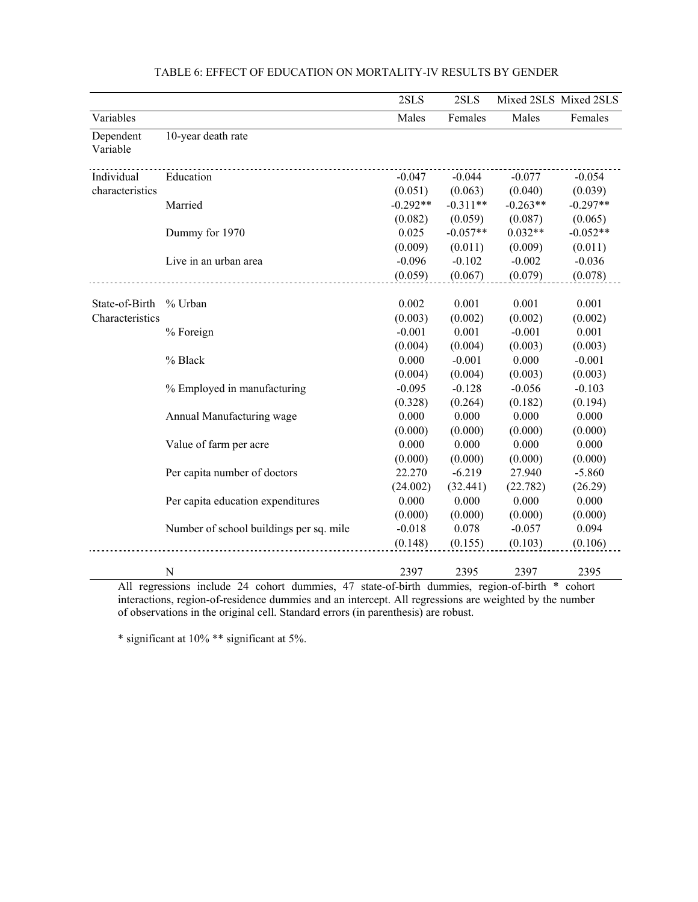|                       |                                         | 2SLS       | 2SLS       |            | Mixed 2SLS Mixed 2SLS |
|-----------------------|-----------------------------------------|------------|------------|------------|-----------------------|
| Variables             |                                         | Males      | Females    | Males      | Females               |
| Dependent<br>Variable | 10-year death rate                      |            |            |            |                       |
| Individual            | Education                               | $-0.047$   | $-0.044$   | $-0.077$   | $-0.054$              |
| characteristics       |                                         | (0.051)    | (0.063)    | (0.040)    | (0.039)               |
|                       | Married                                 | $-0.292**$ | $-0.311**$ | $-0.263**$ | $-0.297**$            |
|                       |                                         | (0.082)    | (0.059)    | (0.087)    | (0.065)               |
|                       | Dummy for 1970                          | 0.025      | $-0.057**$ | $0.032**$  | $-0.052**$            |
|                       |                                         | (0.009)    | (0.011)    | (0.009)    | (0.011)               |
|                       | Live in an urban area                   | $-0.096$   | $-0.102$   | $-0.002$   | $-0.036$              |
|                       |                                         | (0.059)    | (0.067)    | (0.079)    | (0.078)               |
|                       |                                         |            |            |            |                       |
| State-of-Birth        | % Urban                                 | 0.002      | 0.001      | 0.001      | 0.001                 |
| Characteristics       |                                         | (0.003)    | (0.002)    | (0.002)    | (0.002)               |
|                       | % Foreign                               | $-0.001$   | 0.001      | $-0.001$   | 0.001                 |
|                       |                                         | (0.004)    | (0.004)    | (0.003)    | (0.003)               |
|                       | % Black                                 | 0.000      | $-0.001$   | 0.000      | $-0.001$              |
|                       |                                         | (0.004)    | (0.004)    | (0.003)    | (0.003)               |
|                       | % Employed in manufacturing             | $-0.095$   | $-0.128$   | $-0.056$   | $-0.103$              |
|                       |                                         | (0.328)    | (0.264)    | (0.182)    | (0.194)               |
|                       | Annual Manufacturing wage               | 0.000      | 0.000      | 0.000      | 0.000                 |
|                       |                                         | (0.000)    | (0.000)    | (0.000)    | (0.000)               |
|                       | Value of farm per acre                  | 0.000      | 0.000      | 0.000      | 0.000                 |
|                       |                                         | (0.000)    | (0.000)    | (0.000)    | (0.000)               |
|                       | Per capita number of doctors            | 22.270     | $-6.219$   | 27.940     | $-5.860$              |
|                       |                                         | (24.002)   | (32.441)   | (22.782)   | (26.29)               |
|                       | Per capita education expenditures       | 0.000      | 0.000      | 0.000      | 0.000                 |
|                       |                                         | (0.000)    | (0.000)    | (0.000)    | (0.000)               |
|                       | Number of school buildings per sq. mile | $-0.018$   | 0.078      | $-0.057$   | 0.094                 |
|                       |                                         | (0.148)    | (0.155)    | (0.103)    | (0.106)               |
|                       | N                                       | 2397       | 2395       | 2397       | 2395                  |

|  |  |  |  |  |  |  |  | TABLE 6: EFFECT OF EDUCATION ON MORTALITY-IV RESULTS BY GENDER |
|--|--|--|--|--|--|--|--|----------------------------------------------------------------|
|--|--|--|--|--|--|--|--|----------------------------------------------------------------|

All regressions include 24 cohort dummies, 47 state-of-birth dummies, region-of-birth \* cohort interactions, region-of-residence dummies and an intercept. All regressions are weighted by the number of observations in the original cell. Standard errors (in parenthesis) are robust.